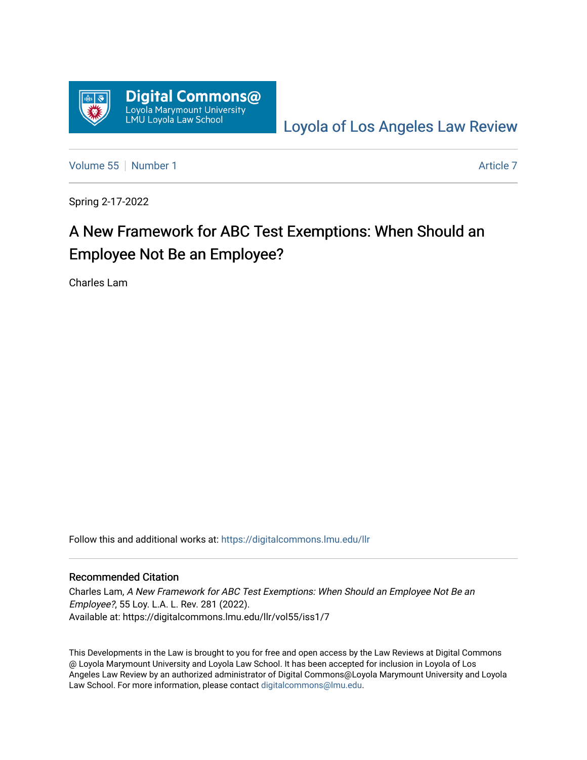

[Loyola of Los Angeles Law Review](https://digitalcommons.lmu.edu/llr) 

[Volume 55](https://digitalcommons.lmu.edu/llr/vol55) [Number 1](https://digitalcommons.lmu.edu/llr/vol55/iss1) [Article 7](https://digitalcommons.lmu.edu/llr/vol55/iss1/7) Article 7 Article 7

Spring 2-17-2022

# A New Framework for ABC Test Exemptions: When Should an Employee Not Be an Employee?

Charles Lam

Follow this and additional works at: [https://digitalcommons.lmu.edu/llr](https://digitalcommons.lmu.edu/llr?utm_source=digitalcommons.lmu.edu%2Fllr%2Fvol55%2Fiss1%2F7&utm_medium=PDF&utm_campaign=PDFCoverPages) 

## Recommended Citation

Charles Lam, A New Framework for ABC Test Exemptions: When Should an Employee Not Be an Employee?, 55 Loy. L.A. L. Rev. 281 (2022). Available at: https://digitalcommons.lmu.edu/llr/vol55/iss1/7

This Developments in the Law is brought to you for free and open access by the Law Reviews at Digital Commons @ Loyola Marymount University and Loyola Law School. It has been accepted for inclusion in Loyola of Los Angeles Law Review by an authorized administrator of Digital Commons@Loyola Marymount University and Loyola Law School. For more information, please contact [digitalcommons@lmu.edu.](mailto:digitalcommons@lmu.edu)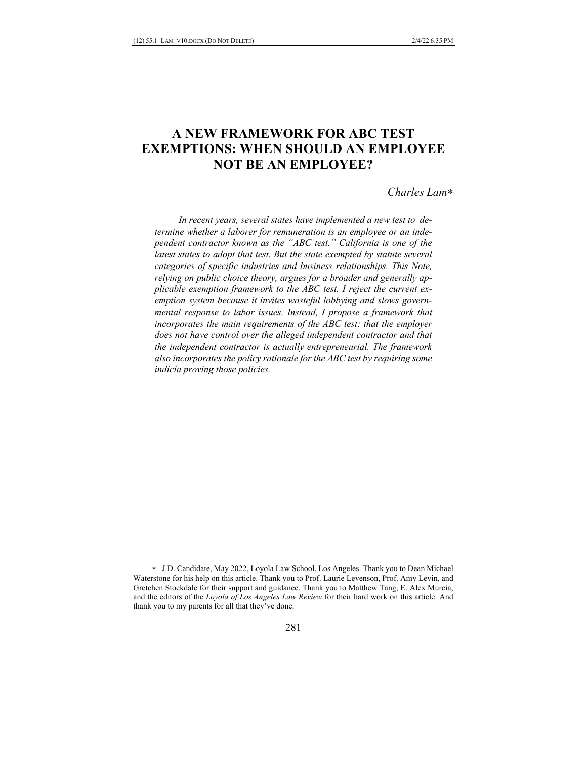# **A NEW FRAMEWORK FOR ABC TEST EXEMPTIONS: WHEN SHOULD AN EMPLOYEE NOT BE AN EMPLOYEE?**

#### *Charles Lam*\*

 *In recent years, several states have implemented a new test to determine whether a laborer for remuneration is an employee or an independent contractor known as the "ABC test." California is one of the latest states to adopt that test. But the state exempted by statute several categories of specific industries and business relationships. This Note, relying on public choice theory, argues for a broader and generally applicable exemption framework to the ABC test. I reject the current exemption system because it invites wasteful lobbying and slows governmental response to labor issues. Instead, I propose a framework that incorporates the main requirements of the ABC test: that the employer does not have control over the alleged independent contractor and that the independent contractor is actually entrepreneurial. The framework also incorporates the policy rationale for the ABC test by requiring some indicia proving those policies.*

<sup>\*</sup> J.D. Candidate, May 2022, Loyola Law School, Los Angeles. Thank you to Dean Michael Waterstone for his help on this article. Thank you to Prof. Laurie Levenson, Prof. Amy Levin, and Gretchen Stockdale for their support and guidance. Thank you to Matthew Tang, E. Alex Murcia, and the editors of the *Loyola of Los Angeles Law Review* for their hard work on this article. And thank you to my parents for all that they've done.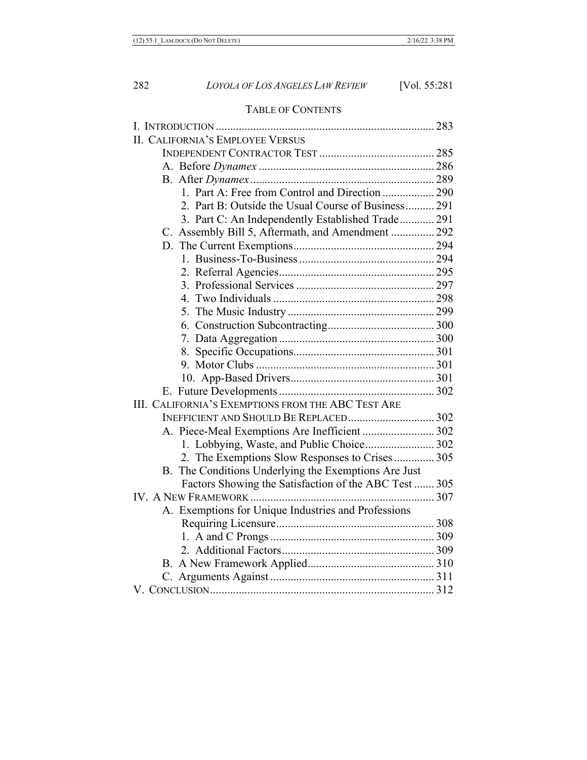# TABLE OF CONTENTS

| <b>II. CALIFORNIA'S EMPLOYEE VERSUS</b>               |  |
|-------------------------------------------------------|--|
|                                                       |  |
|                                                       |  |
|                                                       |  |
| 1. Part A: Free from Control and Direction  290       |  |
| 2. Part B: Outside the Usual Course of Business 291   |  |
| 3. Part C: An Independently Established Trade 291     |  |
| C. Assembly Bill 5, Aftermath, and Amendment  292     |  |
|                                                       |  |
|                                                       |  |
|                                                       |  |
|                                                       |  |
|                                                       |  |
|                                                       |  |
|                                                       |  |
|                                                       |  |
|                                                       |  |
|                                                       |  |
|                                                       |  |
|                                                       |  |
| III. CALIFORNIA'S EXEMPTIONS FROM THE ABC TEST ARE    |  |
|                                                       |  |
| A. Piece-Meal Exemptions Are Inefficient  302         |  |
| 1. Lobbying, Waste, and Public Choice 302             |  |
| 2. The Exemptions Slow Responses to Crises 305        |  |
| B. The Conditions Underlying the Exemptions Are Just  |  |
| Factors Showing the Satisfaction of the ABC Test  305 |  |
|                                                       |  |
| A. Exemptions for Unique Industries and Professions   |  |
|                                                       |  |
|                                                       |  |
|                                                       |  |
|                                                       |  |
|                                                       |  |
|                                                       |  |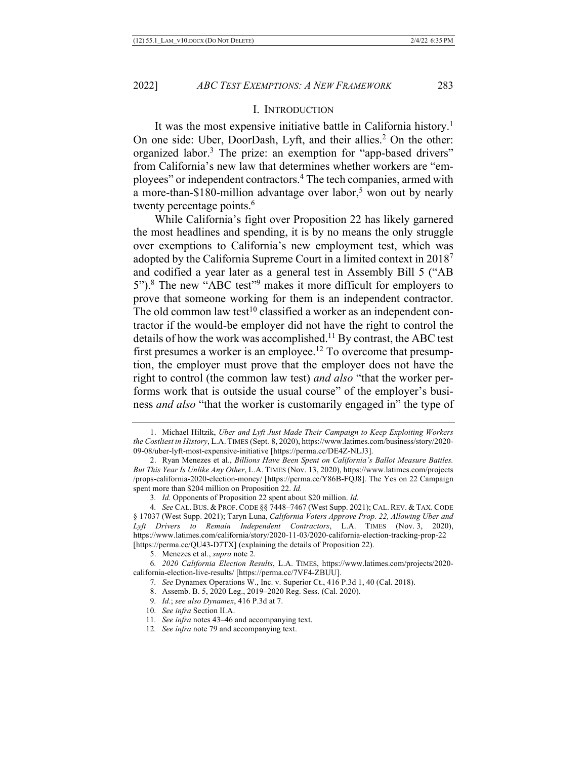#### I. INTRODUCTION

It was the most expensive initiative battle in California history.<sup>1</sup> On one side: Uber, DoorDash, Lyft, and their allies.<sup>2</sup> On the other: organized labor.<sup>3</sup> The prize: an exemption for "app-based drivers" from California's new law that determines whether workers are "employees" or independent contractors.4 The tech companies, armed with a more-than-\$180-million advantage over labor,<sup>5</sup> won out by nearly twenty percentage points.<sup>6</sup>

While California's fight over Proposition 22 has likely garnered the most headlines and spending, it is by no means the only struggle over exemptions to California's new employment test, which was adopted by the California Supreme Court in a limited context in 20187 and codified a year later as a general test in Assembly Bill 5 ("AB 5").8 The new "ABC test"9 makes it more difficult for employers to prove that someone working for them is an independent contractor. The old common law test<sup>10</sup> classified a worker as an independent contractor if the would-be employer did not have the right to control the details of how the work was accomplished.<sup>11</sup> By contrast, the ABC test first presumes a worker is an employee.<sup>12</sup> To overcome that presumption, the employer must prove that the employer does not have the right to control (the common law test) *and also* "that the worker performs work that is outside the usual course" of the employer's business *and also* "that the worker is customarily engaged in" the type of

12*. See infra* note 79 and accompanying text.

<sup>1.</sup> Michael Hiltzik, *Uber and Lyft Just Made Their Campaign to Keep Exploiting Workers the Costliest in History*, L.A. TIMES (Sept. 8, 2020), https://www.latimes.com/business/story/2020- 09-08/uber-lyft-most-expensive-initiative [https://perma.cc/DE4Z-NLJ3].

<sup>2.</sup> Ryan Menezes et al., *Billions Have Been Spent on California's Ballot Measure Battles. But This Year Is Unlike Any Other*, L.A. TIMES (Nov. 13, 2020), https://www.latimes.com/projects /props-california-2020-election-money/ [https://perma.cc/Y86B-FQJ8]. The Yes on 22 Campaign spent more than \$204 million on Proposition 22. *Id.*

<sup>3</sup>*. Id.* Opponents of Proposition 22 spent about \$20 million. *Id.*

<sup>4</sup>*. See* CAL. BUS. & PROF. CODE §§ 7448–7467 (West Supp. 2021); CAL. REV. & TAX. CODE § 17037 (West Supp. 2021); Taryn Luna, *California Voters Approve Prop. 22, Allowing Uber and Lyft Drivers to Remain Independent Contractors*, L.A. TIMES (Nov. 3, 2020), https://www.latimes.com/california/story/2020-11-03/2020-california-election-tracking-prop-22 [https://perma.cc/QU43-D7TX] (explaining the details of Proposition 22).

<sup>5.</sup> Menezes et al., *supra* note 2.

<sup>6</sup>*. 2020 California Election Results*, L.A. TIMES, https://www.latimes.com/projects/2020 california-election-live-results/ [https://perma.cc/7VF4-ZBUU].

<sup>7</sup>*. See* Dynamex Operations W., Inc. v. Superior Ct., 416 P.3d 1, 40 (Cal. 2018).

<sup>8.</sup> Assemb. B. 5, 2020 Leg., 2019–2020 Reg. Sess. (Cal. 2020).

<sup>9</sup>*. Id.*; *see also Dynamex*, 416 P.3d at 7.

<sup>10</sup>*. See infra* Section II.A.

<sup>11</sup>*. See infra* notes 43–46 and accompanying text.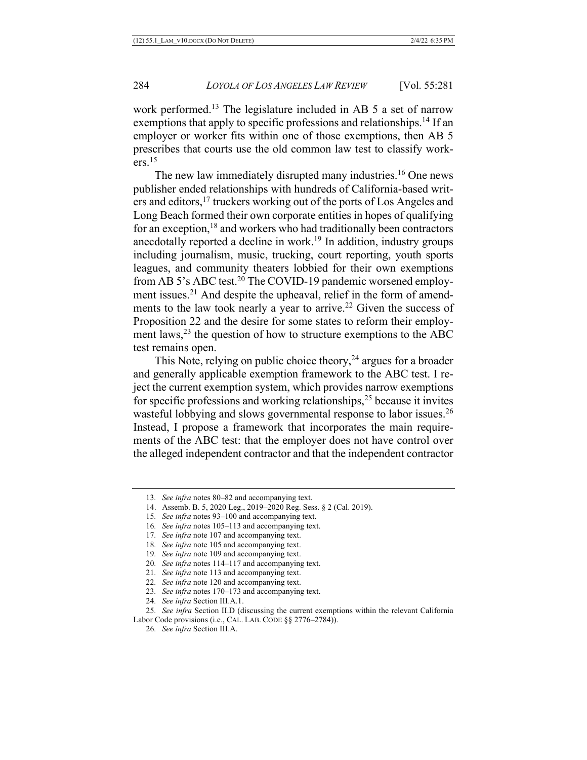work performed.<sup>13</sup> The legislature included in AB 5 a set of narrow exemptions that apply to specific professions and relationships.<sup>14</sup> If an employer or worker fits within one of those exemptions, then AB 5 prescribes that courts use the old common law test to classify work $ers.<sup>15</sup>$ 

The new law immediately disrupted many industries.<sup>16</sup> One news publisher ended relationships with hundreds of California-based writers and editors,17 truckers working out of the ports of Los Angeles and Long Beach formed their own corporate entities in hopes of qualifying for an exception, $18$  and workers who had traditionally been contractors anecdotally reported a decline in work.<sup>19</sup> In addition, industry groups including journalism, music, trucking, court reporting, youth sports leagues, and community theaters lobbied for their own exemptions from AB 5's ABC test.<sup>20</sup> The COVID-19 pandemic worsened employment issues.<sup>21</sup> And despite the upheaval, relief in the form of amendments to the law took nearly a year to arrive.<sup>22</sup> Given the success of Proposition 22 and the desire for some states to reform their employment laws, $^{23}$  the question of how to structure exemptions to the ABC test remains open.

This Note, relying on public choice theory,  $24$  argues for a broader and generally applicable exemption framework to the ABC test. I reject the current exemption system, which provides narrow exemptions for specific professions and working relationships,  $25$  because it invites wasteful lobbying and slows governmental response to labor issues.<sup>26</sup> Instead, I propose a framework that incorporates the main requirements of the ABC test: that the employer does not have control over the alleged independent contractor and that the independent contractor

- 23*. See infra* notes 170–173 and accompanying text.
- 24*. See infra* Section III.A.1.

25*. See infra* Section II.D (discussing the current exemptions within the relevant California Labor Code provisions (i.e., CAL. LAB. CODE §§ 2776–2784)).

<sup>13</sup>*. See infra* notes 80–82 and accompanying text.

<sup>14.</sup> Assemb. B. 5, 2020 Leg., 2019–2020 Reg. Sess. § 2 (Cal. 2019).

<sup>15</sup>*. See infra* notes 93–100 and accompanying text.

<sup>16</sup>*. See infra* notes 105–113 and accompanying text.

<sup>17</sup>*. See infra* note 107 and accompanying text.

<sup>18</sup>*. See infra* note 105 and accompanying text.

<sup>19</sup>*. See infra* note 109 and accompanying text.

<sup>20</sup>*. See infra* notes 114–117 and accompanying text.

<sup>21</sup>*. See infra* note 113 and accompanying text.

<sup>22</sup>*. See infra* note 120 and accompanying text.

<sup>26</sup>*. See infra* Section III.A.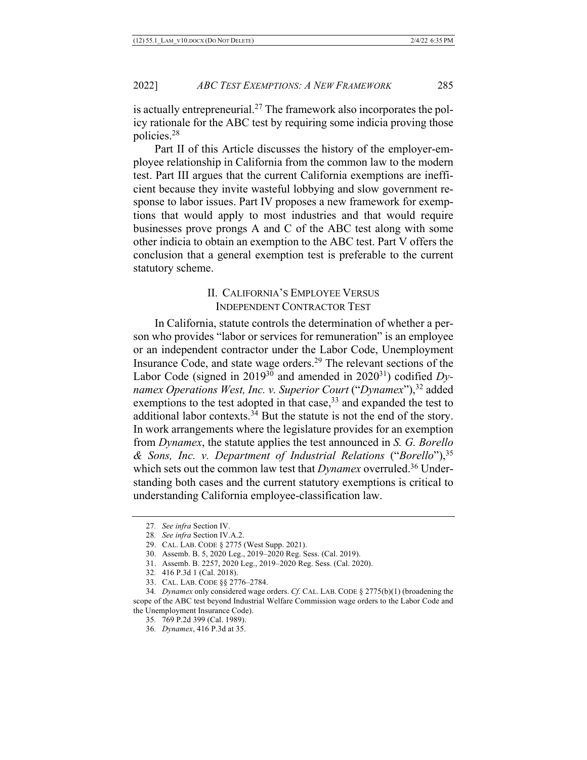is actually entrepreneurial.<sup>27</sup> The framework also incorporates the policy rationale for the ABC test by requiring some indicia proving those policies.28

Part II of this Article discusses the history of the employer-employee relationship in California from the common law to the modern test. Part III argues that the current California exemptions are inefficient because they invite wasteful lobbying and slow government response to labor issues. Part IV proposes a new framework for exemptions that would apply to most industries and that would require businesses prove prongs A and C of the ABC test along with some other indicia to obtain an exemption to the ABC test. Part V offers the conclusion that a general exemption test is preferable to the current statutory scheme.

# II. CALIFORNIA'S EMPLOYEE VERSUS INDEPENDENT CONTRACTOR TEST

In California, statute controls the determination of whether a person who provides "labor or services for remuneration" is an employee or an independent contractor under the Labor Code, Unemployment Insurance Code, and state wage orders.29 The relevant sections of the Labor Code (signed in  $2019^{30}$  and amended in  $2020^{31}$ ) codified *Dynamex Operations West, Inc. v. Superior Court* ("*Dynamex*"),<sup>32</sup> added exemptions to the test adopted in that case,  $33$  and expanded the test to additional labor contexts. $34$  But the statute is not the end of the story. In work arrangements where the legislature provides for an exemption from *Dynamex*, the statute applies the test announced in *S. G. Borello & Sons, Inc. v. Department of Industrial Relations* ("*Borello*"),35 which sets out the common law test that *Dynamex* overruled.<sup>36</sup> Understanding both cases and the current statutory exemptions is critical to understanding California employee-classification law.

<sup>27</sup>*. See infra* Section IV.

<sup>28</sup>*. See infra* Section IV.A.2.

<sup>29.</sup> CAL. LAB. CODE § 2775 (West Supp. 2021).

<sup>30.</sup> Assemb. B. 5, 2020 Leg., 2019–2020 Reg. Sess. (Cal. 2019).

<sup>31.</sup> Assemb. B. 2257, 2020 Leg., 2019–2020 Reg. Sess. (Cal. 2020).

<sup>32</sup>*.* 416 P.3d 1 (Cal. 2018).

<sup>33.</sup> CAL. LAB. CODE §§ 2776–2784.

<sup>34</sup>*. Dynamex* only considered wage orders. *Cf.* CAL. LAB. CODE § 2775(b)(1) (broadening the scope of the ABC test beyond Industrial Welfare Commission wage orders to the Labor Code and the Unemployment Insurance Code).

<sup>35</sup>*.* 769 P.2d 399 (Cal. 1989).

<sup>36</sup>*. Dynamex*, 416 P.3d at 35.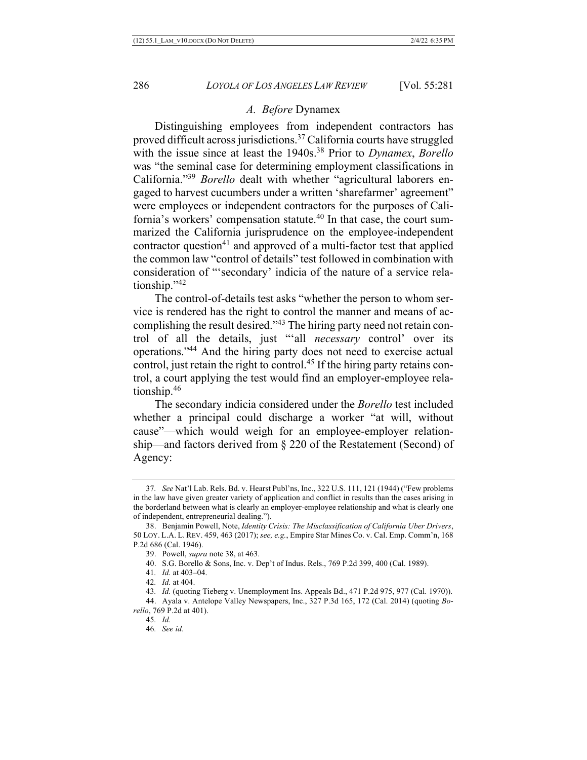#### *A. Before* Dynamex

Distinguishing employees from independent contractors has proved difficult across jurisdictions.<sup>37</sup> California courts have struggled with the issue since at least the 1940s.38 Prior to *Dynamex*, *Borello* was "the seminal case for determining employment classifications in California."39 *Borello* dealt with whether "agricultural laborers engaged to harvest cucumbers under a written 'sharefarmer' agreement" were employees or independent contractors for the purposes of California's workers' compensation statute.<sup>40</sup> In that case, the court summarized the California jurisprudence on the employee-independent contractor question<sup>41</sup> and approved of a multi-factor test that applied the common law "control of details" test followed in combination with consideration of "'secondary' indicia of the nature of a service relationship."42

The control-of-details test asks "whether the person to whom service is rendered has the right to control the manner and means of accomplishing the result desired."43 The hiring party need not retain control of all the details, just "'all *necessary* control' over its operations."44 And the hiring party does not need to exercise actual control, just retain the right to control.<sup>45</sup> If the hiring party retains control, a court applying the test would find an employer-employee relationship.46

The secondary indicia considered under the *Borello* test included whether a principal could discharge a worker "at will, without cause"—which would weigh for an employee-employer relationship—and factors derived from § 220 of the Restatement (Second) of Agency:

<sup>37</sup>*. See* Nat'l Lab. Rels. Bd. v. Hearst Publ'ns, Inc., 322 U.S. 111, 121 (1944) ("Few problems in the law have given greater variety of application and conflict in results than the cases arising in the borderland between what is clearly an employer-employee relationship and what is clearly one of independent, entrepreneurial dealing.").

<sup>38.</sup> Benjamin Powell, Note, *Identity Crisis: The Misclassification of California Uber Drivers*, 50 LOY. L.A. L. REV. 459, 463 (2017); *see, e.g.*, Empire Star Mines Co. v. Cal. Emp. Comm'n, 168 P.2d 686 (Cal. 1946).

<sup>39.</sup> Powell, *supra* note 38, at 463.

<sup>40.</sup> S.G. Borello & Sons, Inc. v. Dep't of Indus. Rels., 769 P.2d 399, 400 (Cal. 1989).

<sup>41</sup>*. Id.* at 403–04.

<sup>42</sup>*. Id.* at 404.

<sup>43</sup>*. Id.* (quoting Tieberg v. Unemployment Ins. Appeals Bd., 471 P.2d 975, 977 (Cal. 1970)). 44. Ayala v. Antelope Valley Newspapers, Inc., 327 P.3d 165, 172 (Cal. 2014) (quoting *Borello*, 769 P.2d at 401).

<sup>45</sup>*. Id.*

<sup>46</sup>*. See id.*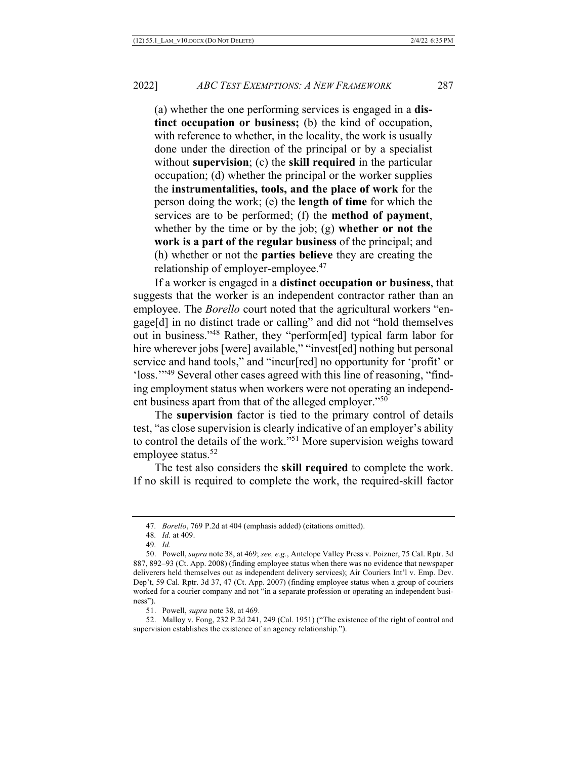(a) whether the one performing services is engaged in a **distinct occupation or business;** (b) the kind of occupation, with reference to whether, in the locality, the work is usually done under the direction of the principal or by a specialist without **supervision**; (c) the **skill required** in the particular occupation; (d) whether the principal or the worker supplies the **instrumentalities, tools, and the place of work** for the person doing the work; (e) the **length of time** for which the services are to be performed; (f) the **method of payment**, whether by the time or by the job; (g) **whether or not the work is a part of the regular business** of the principal; and (h) whether or not the **parties believe** they are creating the relationship of employer-employee.<sup>47</sup>

If a worker is engaged in a **distinct occupation or business**, that suggests that the worker is an independent contractor rather than an employee. The *Borello* court noted that the agricultural workers "engage[d] in no distinct trade or calling" and did not "hold themselves out in business."48 Rather, they "perform[ed] typical farm labor for hire wherever jobs [were] available," "invest[ed] nothing but personal service and hand tools," and "incur[red] no opportunity for 'profit' or 'loss.'"49 Several other cases agreed with this line of reasoning, "finding employment status when workers were not operating an independent business apart from that of the alleged employer."50

The **supervision** factor is tied to the primary control of details test, "as close supervision is clearly indicative of an employer's ability to control the details of the work."51 More supervision weighs toward employee status.<sup>52</sup>

The test also considers the **skill required** to complete the work. If no skill is required to complete the work, the required-skill factor

<sup>47</sup>*. Borello*, 769 P.2d at 404 (emphasis added) (citations omitted).

<sup>48</sup>*. Id.* at 409.

<sup>49</sup>*. Id.*

<sup>50.</sup> Powell, *supra* note 38, at 469; *see, e.g.*, Antelope Valley Press v. Poizner, 75 Cal. Rptr. 3d 887, 892–93 (Ct. App. 2008) (finding employee status when there was no evidence that newspaper deliverers held themselves out as independent delivery services); Air Couriers Int'l v. Emp. Dev. Dep't, 59 Cal. Rptr. 3d 37, 47 (Ct. App. 2007) (finding employee status when a group of couriers worked for a courier company and not "in a separate profession or operating an independent business").

<sup>51.</sup> Powell, *supra* note 38, at 469.

<sup>52.</sup> Malloy v. Fong, 232 P.2d 241, 249 (Cal. 1951) ("The existence of the right of control and supervision establishes the existence of an agency relationship.").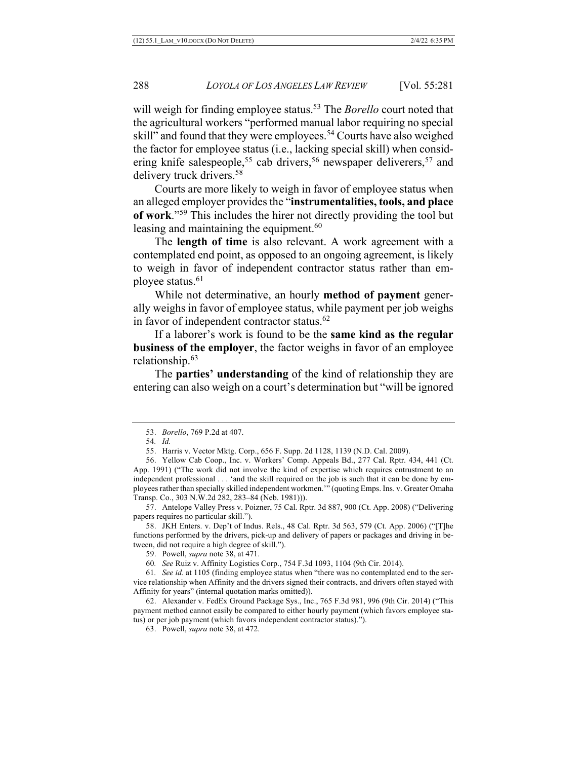will weigh for finding employee status.<sup>53</sup> The *Borello* court noted that the agricultural workers "performed manual labor requiring no special skill" and found that they were employees.<sup>54</sup> Courts have also weighed the factor for employee status (i.e., lacking special skill) when considering knife salespeople,<sup>55</sup> cab drivers,<sup>56</sup> newspaper deliverers,<sup>57</sup> and delivery truck drivers.<sup>58</sup>

Courts are more likely to weigh in favor of employee status when an alleged employer provides the "**instrumentalities, tools, and place of work**."59 This includes the hirer not directly providing the tool but leasing and maintaining the equipment.<sup>60</sup>

The **length of time** is also relevant. A work agreement with a contemplated end point, as opposed to an ongoing agreement, is likely to weigh in favor of independent contractor status rather than employee status.<sup>61</sup>

While not determinative, an hourly **method of payment** generally weighs in favor of employee status, while payment per job weighs in favor of independent contractor status.<sup>62</sup>

If a laborer's work is found to be the **same kind as the regular business of the employer**, the factor weighs in favor of an employee relationship. 63

The **parties' understanding** of the kind of relationship they are entering can also weigh on a court's determination but "will be ignored

57. Antelope Valley Press v. Poizner, 75 Cal. Rptr. 3d 887, 900 (Ct. App. 2008) ("Delivering papers requires no particular skill.").

58. JKH Enters. v. Dep't of Indus. Rels., 48 Cal. Rptr. 3d 563, 579 (Ct. App. 2006) ("[T]he functions performed by the drivers, pick-up and delivery of papers or packages and driving in between, did not require a high degree of skill.").

<sup>53.</sup> *Borello*, 769 P.2d at 407.

<sup>54</sup>*. Id.*

<sup>55.</sup> Harris v. Vector Mktg. Corp., 656 F. Supp. 2d 1128, 1139 (N.D. Cal. 2009).

<sup>56.</sup> Yellow Cab Coop., Inc. v. Workers' Comp. Appeals Bd., 277 Cal. Rptr. 434, 441 (Ct. App. 1991) ("The work did not involve the kind of expertise which requires entrustment to an independent professional . . . 'and the skill required on the job is such that it can be done by employees rather than specially skilled independent workmen.'" (quoting Emps. Ins. v. Greater Omaha Transp. Co., 303 N.W.2d 282, 283–84 (Neb. 1981))).

<sup>59.</sup> Powell, *supra* note 38, at 471.

<sup>60</sup>*. See* Ruiz v. Affinity Logistics Corp., 754 F.3d 1093, 1104 (9th Cir. 2014).

<sup>61</sup>*. See id.* at 1105 (finding employee status when "there was no contemplated end to the service relationship when Affinity and the drivers signed their contracts, and drivers often stayed with Affinity for years" (internal quotation marks omitted)).

<sup>62.</sup> Alexander v. FedEx Ground Package Sys., Inc., 765 F.3d 981, 996 (9th Cir. 2014) ("This payment method cannot easily be compared to either hourly payment (which favors employee status) or per job payment (which favors independent contractor status).").

<sup>63.</sup> Powell, *supra* note 38, at 472.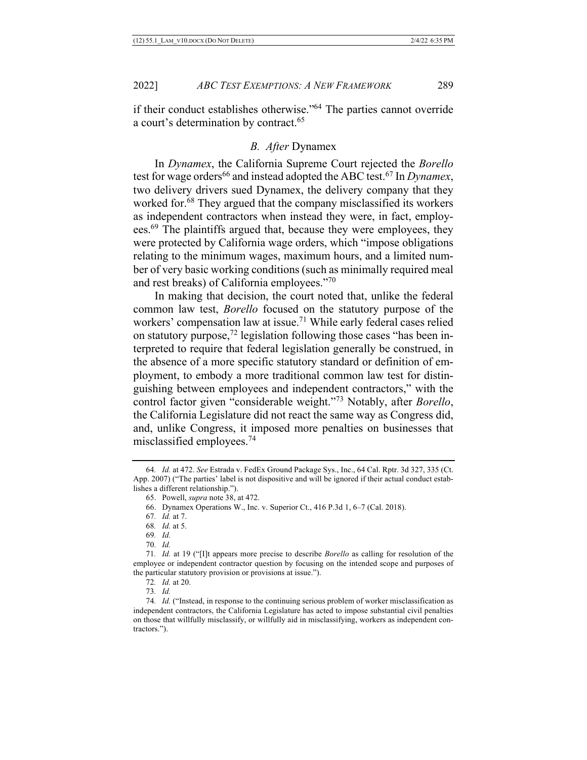if their conduct establishes otherwise."64 The parties cannot override a court's determination by contract.<sup>65</sup>

## *B. After* Dynamex

In *Dynamex*, the California Supreme Court rejected the *Borello*  test for wage orders<sup>66</sup> and instead adopted the ABC test.<sup>67</sup> In *Dynamex*, two delivery drivers sued Dynamex, the delivery company that they worked for.<sup>68</sup> They argued that the company misclassified its workers as independent contractors when instead they were, in fact, employees.<sup>69</sup> The plaintiffs argued that, because they were employees, they were protected by California wage orders, which "impose obligations relating to the minimum wages, maximum hours, and a limited number of very basic working conditions (such as minimally required meal and rest breaks) of California employees."70

In making that decision, the court noted that, unlike the federal common law test, *Borello* focused on the statutory purpose of the workers' compensation law at issue.<sup>71</sup> While early federal cases relied on statutory purpose, $^{72}$  legislation following those cases "has been interpreted to require that federal legislation generally be construed, in the absence of a more specific statutory standard or definition of employment, to embody a more traditional common law test for distinguishing between employees and independent contractors," with the control factor given "considerable weight."73 Notably, after *Borello*, the California Legislature did not react the same way as Congress did, and, unlike Congress, it imposed more penalties on businesses that misclassified employees.74

<sup>64</sup>*. Id.* at 472. *See* Estrada v. FedEx Ground Package Sys., Inc., 64 Cal. Rptr. 3d 327, 335 (Ct. App. 2007) ("The parties' label is not dispositive and will be ignored if their actual conduct establishes a different relationship.").

<sup>65.</sup> Powell, *supra* note 38, at 472.

<sup>66.</sup> Dynamex Operations W., Inc. v. Superior Ct., 416 P.3d 1, 6–7 (Cal. 2018).

<sup>67</sup>*. Id.* at 7.

<sup>68</sup>*. Id.* at 5.

<sup>69</sup>*. Id.*

<sup>70</sup>*. Id.*

<sup>71</sup>*. Id.* at 19 ("[I]t appears more precise to describe *Borello* as calling for resolution of the employee or independent contractor question by focusing on the intended scope and purposes of the particular statutory provision or provisions at issue.").

<sup>72</sup>*. Id.* at 20.

<sup>73</sup>*. Id.*

<sup>74</sup>*. Id.* ("Instead, in response to the continuing serious problem of worker misclassification as independent contractors, the California Legislature has acted to impose substantial civil penalties on those that willfully misclassify, or willfully aid in misclassifying, workers as independent contractors.").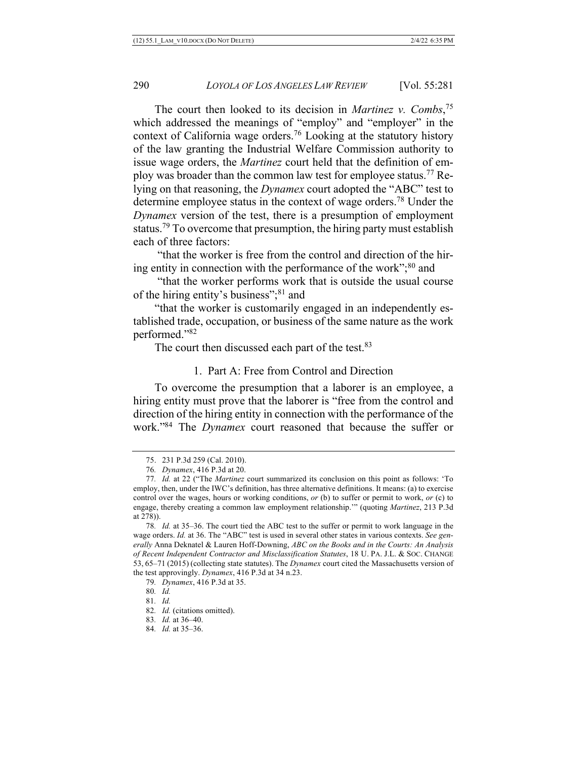The court then looked to its decision in *Martinez v. Combs*, 75 which addressed the meanings of "employ" and "employer" in the context of California wage orders.76 Looking at the statutory history of the law granting the Industrial Welfare Commission authority to issue wage orders, the *Martinez* court held that the definition of employ was broader than the common law test for employee status.<sup>77</sup> Relying on that reasoning, the *Dynamex* court adopted the "ABC" test to determine employee status in the context of wage orders.78 Under the *Dynamex* version of the test, there is a presumption of employment status.<sup>79</sup> To overcome that presumption, the hiring party must establish each of three factors:

"that the worker is free from the control and direction of the hiring entity in connection with the performance of the work";<sup>80</sup> and

"that the worker performs work that is outside the usual course of the hiring entity's business";<sup>81</sup> and

"that the worker is customarily engaged in an independently established trade, occupation, or business of the same nature as the work performed."82

The court then discussed each part of the test.<sup>83</sup>

#### 1. Part A: Free from Control and Direction

To overcome the presumption that a laborer is an employee, a hiring entity must prove that the laborer is "free from the control and direction of the hiring entity in connection with the performance of the work."84 The *Dynamex* court reasoned that because the suffer or

- 82*. Id.* (citations omitted).
- 83*. Id.* at 36–40.
- 84*. Id.* at 35–36.

<sup>75.</sup> 231 P.3d 259 (Cal. 2010).

<sup>76</sup>*. Dynamex*, 416 P.3d at 20.

<sup>77</sup>*. Id.* at 22 ("The *Martinez* court summarized its conclusion on this point as follows: 'To employ, then, under the IWC's definition, has three alternative definitions. It means: (a) to exercise control over the wages, hours or working conditions, *or* (b) to suffer or permit to work, *or* (c) to engage, thereby creating a common law employment relationship.'" (quoting *Martinez*, 213 P.3d at 278)).

<sup>78</sup>*. Id.* at 35–36. The court tied the ABC test to the suffer or permit to work language in the wage orders. *Id.* at 36. The "ABC" test is used in several other states in various contexts. *See generally* Anna Deknatel & Lauren Hoff-Downing, *ABC on the Books and in the Courts: An Analysis of Recent Independent Contractor and Misclassification Statutes*, 18 U. PA. J.L. & SOC. CHANGE 53, 65–71 (2015) (collecting state statutes). The *Dynamex* court cited the Massachusetts version of the test approvingly. *Dynamex*, 416 P.3d at 34 n.23.

<sup>79</sup>*. Dynamex*, 416 P.3d at 35.

<sup>80</sup>*. Id.*

<sup>81</sup>*. Id.*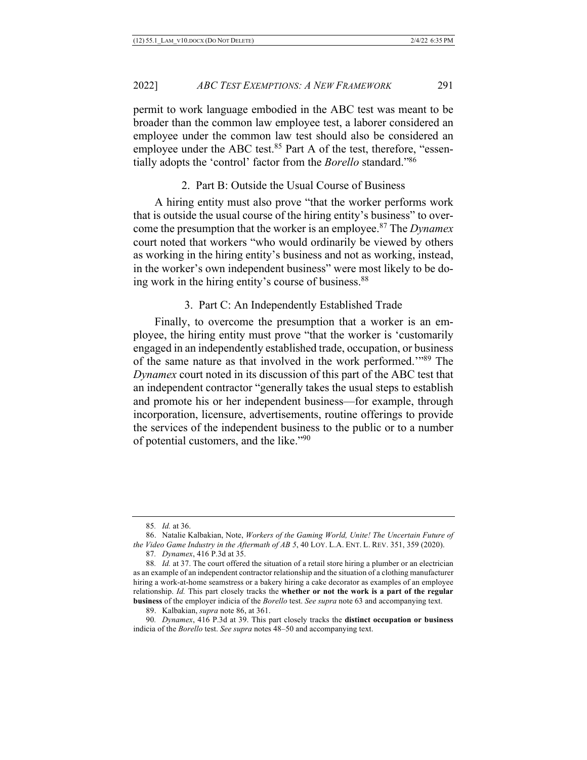permit to work language embodied in the ABC test was meant to be broader than the common law employee test, a laborer considered an employee under the common law test should also be considered an employee under the ABC test.<sup>85</sup> Part A of the test, therefore, "essentially adopts the 'control' factor from the *Borello* standard."86

## 2. Part B: Outside the Usual Course of Business

A hiring entity must also prove "that the worker performs work that is outside the usual course of the hiring entity's business" to overcome the presumption that the worker is an employee.87 The *Dynamex*  court noted that workers "who would ordinarily be viewed by others as working in the hiring entity's business and not as working, instead, in the worker's own independent business" were most likely to be doing work in the hiring entity's course of business.<sup>88</sup>

## 3. Part C: An Independently Established Trade

Finally, to overcome the presumption that a worker is an employee, the hiring entity must prove "that the worker is 'customarily engaged in an independently established trade, occupation, or business of the same nature as that involved in the work performed.'"89 The *Dynamex* court noted in its discussion of this part of the ABC test that an independent contractor "generally takes the usual steps to establish and promote his or her independent business—for example, through incorporation, licensure, advertisements, routine offerings to provide the services of the independent business to the public or to a number of potential customers, and the like."90

<sup>85</sup>*. Id.* at 36.

<sup>86.</sup> Natalie Kalbakian, Note, *Workers of the Gaming World, Unite! The Uncertain Future of the Video Game Industry in the Aftermath of AB 5*, 40 LOY. L.A. ENT. L. REV. 351, 359 (2020).

<sup>87</sup>*. Dynamex*, 416 P.3d at 35.

<sup>88</sup>*. Id.* at 37. The court offered the situation of a retail store hiring a plumber or an electrician as an example of an independent contractor relationship and the situation of a clothing manufacturer hiring a work-at-home seamstress or a bakery hiring a cake decorator as examples of an employee relationship. *Id.* This part closely tracks the **whether or not the work is a part of the regular business** of the employer indicia of the *Borello* test. *See supra* note 63 and accompanying text.

<sup>89.</sup> Kalbakian, *supra* note 86, at 361.

<sup>90</sup>*. Dynamex*, 416 P.3d at 39. This part closely tracks the **distinct occupation or business**  indicia of the *Borello* test. *See supra* notes 48–50 and accompanying text.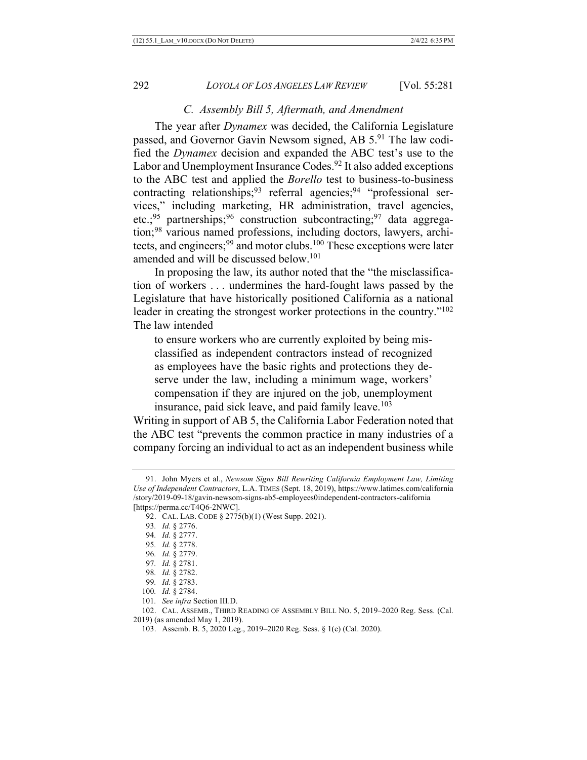## *C. Assembly Bill 5, Aftermath, and Amendment*

The year after *Dynamex* was decided, the California Legislature passed, and Governor Gavin Newsom signed, AB 5.91 The law codified the *Dynamex* decision and expanded the ABC test's use to the Labor and Unemployment Insurance Codes.<sup>92</sup> It also added exceptions to the ABC test and applied the *Borello* test to business-to-business contracting relationships;  $93$  referral agencies;  $94$  "professional services," including marketing, HR administration, travel agencies, etc.;<sup>95</sup> partnerships;<sup>96</sup> construction subcontracting;<sup>97</sup> data aggregation;98 various named professions, including doctors, lawyers, architects, and engineers;<sup>99</sup> and motor clubs.<sup>100</sup> These exceptions were later amended and will be discussed below.101

In proposing the law, its author noted that the "the misclassification of workers . . . undermines the hard-fought laws passed by the Legislature that have historically positioned California as a national leader in creating the strongest worker protections in the country."102 The law intended

to ensure workers who are currently exploited by being misclassified as independent contractors instead of recognized as employees have the basic rights and protections they deserve under the law, including a minimum wage, workers' compensation if they are injured on the job, unemployment insurance, paid sick leave, and paid family leave.<sup>103</sup>

Writing in support of AB 5, the California Labor Federation noted that the ABC test "prevents the common practice in many industries of a company forcing an individual to act as an independent business while

- 100*. Id.* § 2784.
- 101*. See infra* Section III.D.

102. CAL. ASSEMB., THIRD READING OF ASSEMBLY BILL NO. 5, 2019–2020 Reg. Sess. (Cal. 2019) (as amended May 1, 2019).

<sup>91.</sup> John Myers et al., *Newsom Signs Bill Rewriting California Employment Law, Limiting Use of Independent Contractors*, L.A. TIMES (Sept. 18, 2019), https://www.latimes.com/california /story/2019-09-18/gavin-newsom-signs-ab5-employees0independent-contractors-california [https://perma.cc/T4Q6-2NWC].

<sup>92.</sup> CAL. LAB. CODE § 2775(b)(1) (West Supp. 2021).

<sup>93</sup>*. Id.* § 2776.

<sup>94</sup>*. Id.* § 2777.

<sup>95</sup>*. Id.* § 2778.

<sup>96</sup>*. Id.* § 2779.

<sup>97</sup>*. Id.* § 2781.

<sup>98</sup>*. Id.* § 2782.

<sup>99</sup>*. Id.* § 2783.

<sup>103.</sup> Assemb. B. 5, 2020 Leg., 2019–2020 Reg. Sess. § 1(e) (Cal. 2020).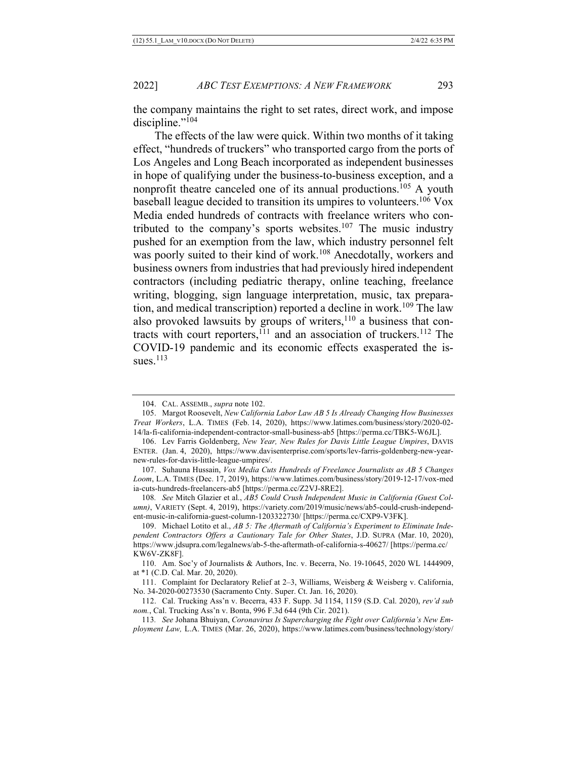2022] *ABC TEST EXEMPTIONS: A NEW FRAMEWORK* 293

the company maintains the right to set rates, direct work, and impose discipline."<sup>104</sup>

The effects of the law were quick. Within two months of it taking effect, "hundreds of truckers" who transported cargo from the ports of Los Angeles and Long Beach incorporated as independent businesses in hope of qualifying under the business-to-business exception, and a nonprofit theatre canceled one of its annual productions.<sup>105</sup> A youth baseball league decided to transition its umpires to volunteers.<sup>106</sup> Vox Media ended hundreds of contracts with freelance writers who contributed to the company's sports websites.<sup>107</sup> The music industry pushed for an exemption from the law, which industry personnel felt was poorly suited to their kind of work.<sup>108</sup> Anecdotally, workers and business owners from industries that had previously hired independent contractors (including pediatric therapy, online teaching, freelance writing, blogging, sign language interpretation, music, tax preparation, and medical transcription) reported a decline in work.<sup>109</sup> The law also provoked lawsuits by groups of writers, $110$  a business that contracts with court reporters,  $111$  and an association of truckers.  $112$  The COVID-19 pandemic and its economic effects exasperated the issues. $113$ 

107. Suhauna Hussain, *Vox Media Cuts Hundreds of Freelance Journalists as AB 5 Changes Loom*, L.A. TIMES (Dec. 17, 2019), https://www.latimes.com/business/story/2019-12-17/vox-med ia-cuts-hundreds-freelancers-ab5 [https://perma.cc/Z2VJ-8RE2].

<sup>104.</sup> CAL. ASSEMB., *supra* note 102.

<sup>105.</sup> Margot Roosevelt, *New California Labor Law AB 5 Is Already Changing How Businesses Treat Workers*, L.A. TIMES (Feb. 14, 2020), https://www.latimes.com/business/story/2020-02- 14/la-fi-california-independent-contractor-small-business-ab5 [https://perma.cc/TBK5-W6JL].

<sup>106.</sup> Lev Farris Goldenberg, *New Year, New Rules for Davis Little League Umpires*, DAVIS ENTER. (Jan. 4, 2020), https://www.davisenterprise.com/sports/lev-farris-goldenberg-new-yearnew-rules-for-davis-little-league-umpires/.

<sup>108</sup>*. See* Mitch Glazier et al., *AB5 Could Crush Independent Music in California (Guest Column)*, VARIETY (Sept. 4, 2019), https://variety.com/2019/music/news/ab5-could-crush-independent-music-in-california-guest-column-1203322730/ [https://perma.cc/CXP9-V3FK].

<sup>109.</sup> Michael Lotito et al., *AB 5: The Aftermath of California's Experiment to Eliminate Independent Contractors Offers a Cautionary Tale for Other States*, J.D. SUPRA (Mar. 10, 2020), https://www.jdsupra.com/legalnews/ab-5-the-aftermath-of-california-s-40627/ [https://perma.cc/ KW6V-ZK8F].

<sup>110.</sup> Am. Soc'y of Journalists & Authors, Inc. v. Becerra, No. 19-10645, 2020 WL 1444909, at \*1 (C.D. Cal. Mar. 20, 2020).

<sup>111.</sup> Complaint for Declaratory Relief at 2–3, Williams, Weisberg & Weisberg v. California, No. 34-2020-00273530 (Sacramento Cnty. Super. Ct. Jan. 16, 2020).

<sup>112.</sup> Cal. Trucking Ass'n v. Becerra, 433 F. Supp. 3d 1154, 1159 (S.D. Cal. 2020), *rev'd sub nom.*, Cal. Trucking Ass'n v. Bonta, 996 F.3d 644 (9th Cir. 2021).

<sup>113</sup>*. See* Johana Bhuiyan, *Coronavirus Is Supercharging the Fight over California's New Employment Law,* L.A. TIMES (Mar. 26, 2020), https://www.latimes.com/business/technology/story/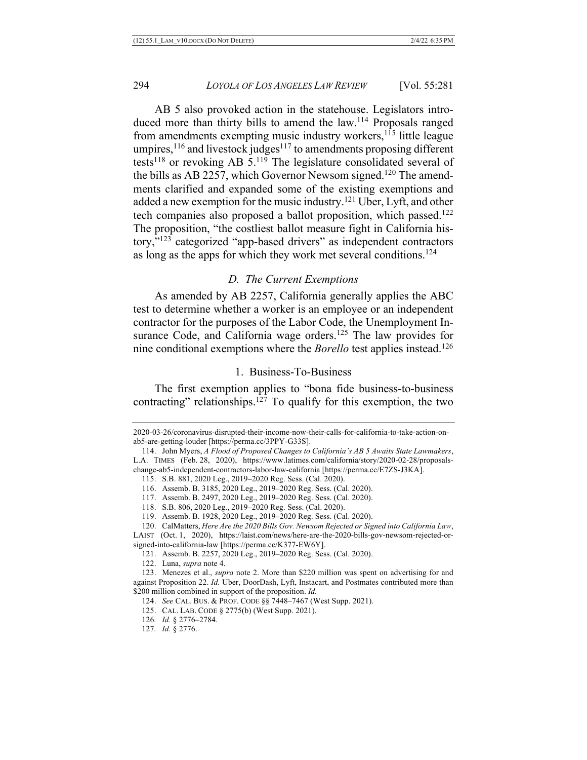AB 5 also provoked action in the statehouse. Legislators introduced more than thirty bills to amend the law.<sup>114</sup> Proposals ranged from amendments exempting music industry workers,<sup>115</sup> little league umpires, $116$  and livestock judges $117$  to amendments proposing different tests<sup>118</sup> or revoking AB  $5.^{119}$  The legislature consolidated several of the bills as AB 2257, which Governor Newsom signed.<sup>120</sup> The amendments clarified and expanded some of the existing exemptions and added a new exemption for the music industry.<sup>121</sup> Uber, Lyft, and other tech companies also proposed a ballot proposition, which passed.<sup>122</sup> The proposition, "the costliest ballot measure fight in California history,"123 categorized "app-based drivers" as independent contractors as long as the apps for which they work met several conditions.124

#### *D. The Current Exemptions*

As amended by AB 2257, California generally applies the ABC test to determine whether a worker is an employee or an independent contractor for the purposes of the Labor Code, the Unemployment Insurance Code, and California wage orders.<sup>125</sup> The law provides for nine conditional exemptions where the *Borello* test applies instead.126

#### 1. Business-To-Business

The first exemption applies to "bona fide business-to-business contracting" relationships.<sup>127</sup> To qualify for this exemption, the two

change-ab5-independent-contractors-labor-law-california [https://perma.cc/E7ZS-J3KA].

116. Assemb. B. 3185, 2020 Leg., 2019–2020 Reg. Sess. (Cal. 2020).

<sup>2020-03-26/</sup>coronavirus-disrupted-their-income-now-their-calls-for-california-to-take-action-onab5-are-getting-louder [https://perma.cc/3PPY-G33S].

<sup>114.</sup> John Myers, *A Flood of Proposed Changes to California's AB 5 Awaits State Lawmakers*, L.A. TIMES (Feb. 28, 2020), https://www.latimes.com/california/story/2020-02-28/proposals-

<sup>115.</sup> S.B. 881, 2020 Leg., 2019–2020 Reg. Sess. (Cal. 2020).

<sup>117.</sup> Assemb. B. 2497, 2020 Leg., 2019–2020 Reg. Sess. (Cal. 2020).

<sup>118.</sup> S.B. 806, 2020 Leg., 2019–2020 Reg. Sess. (Cal. 2020).

<sup>119.</sup> Assemb. B. 1928, 2020 Leg., 2019–2020 Reg. Sess. (Cal. 2020).

<sup>120.</sup> CalMatters, *Here Are the 2020 Bills Gov. Newsom Rejected or Signed into California Law*,

LAIST (Oct. 1, 2020), https://laist.com/news/here-are-the-2020-bills-gov-newsom-rejected-orsigned-into-california-law [https://perma.cc/K377-EW6Y].

<sup>121.</sup> Assemb. B. 2257, 2020 Leg., 2019–2020 Reg. Sess. (Cal. 2020).

<sup>122.</sup> Luna, *supra* note 4.

<sup>123.</sup> Menezes et al., *supra* note 2. More than \$220 million was spent on advertising for and against Proposition 22. *Id.* Uber, DoorDash, Lyft, Instacart, and Postmates contributed more than \$200 million combined in support of the proposition. *Id.*

<sup>124.</sup> *See* CAL. BUS. & PROF. CODE §§ 7448–7467 (West Supp. 2021).

<sup>125.</sup> CAL. LAB. CODE § 2775(b) (West Supp. 2021).

<sup>126</sup>*. Id.* § 2776–2784.

<sup>127</sup>*. Id.* § 2776.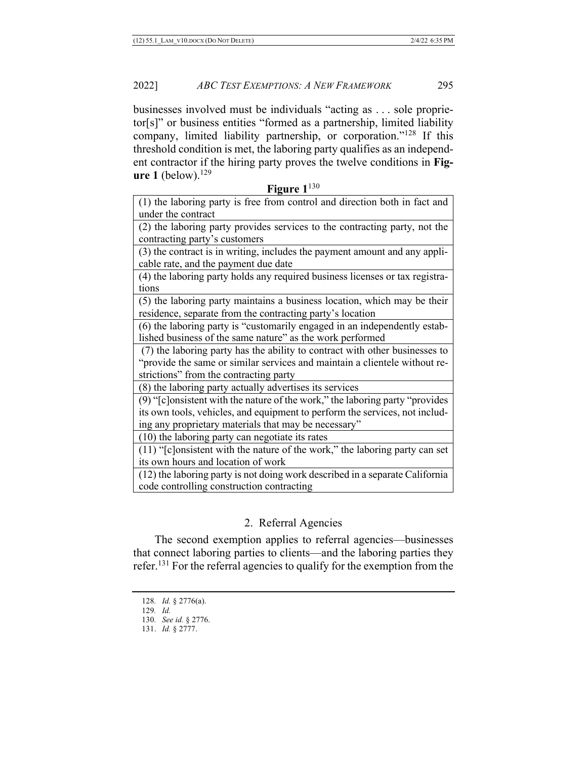businesses involved must be individuals "acting as . . . sole proprietor[s]" or business entities "formed as a partnership, limited liability company, limited liability partnership, or corporation."128 If this threshold condition is met, the laboring party qualifies as an independent contractor if the hiring party proves the twelve conditions in **Figure 1** (below).<sup>129</sup>

**Figure 1**<sup>130</sup>

(1) the laboring party is free from control and direction both in fact and under the contract

(2) the laboring party provides services to the contracting party, not the contracting party's customers

(3) the contract is in writing, includes the payment amount and any applicable rate, and the payment due date

(4) the laboring party holds any required business licenses or tax registrations

(5) the laboring party maintains a business location, which may be their residence, separate from the contracting party's location

(6) the laboring party is "customarily engaged in an independently established business of the same nature" as the work performed

(7) the laboring party has the ability to contract with other businesses to "provide the same or similar services and maintain a clientele without restrictions" from the contracting party

(8) the laboring party actually advertises its services

(9) "[c]onsistent with the nature of the work," the laboring party "provides its own tools, vehicles, and equipment to perform the services, not including any proprietary materials that may be necessary"

(10) the laboring party can negotiate its rates

(11) "[c]onsistent with the nature of the work," the laboring party can set its own hours and location of work

(12) the laboring party is not doing work described in a separate California code controlling construction contracting

# 2. Referral Agencies

The second exemption applies to referral agencies—businesses that connect laboring parties to clients—and the laboring parties they refer.131 For the referral agencies to qualify for the exemption from the

<sup>128</sup>*. Id.* § 2776(a).

<sup>129</sup>*. Id.*

<sup>130</sup>*. See id.* § 2776.

<sup>131.</sup> *Id.* § 2777.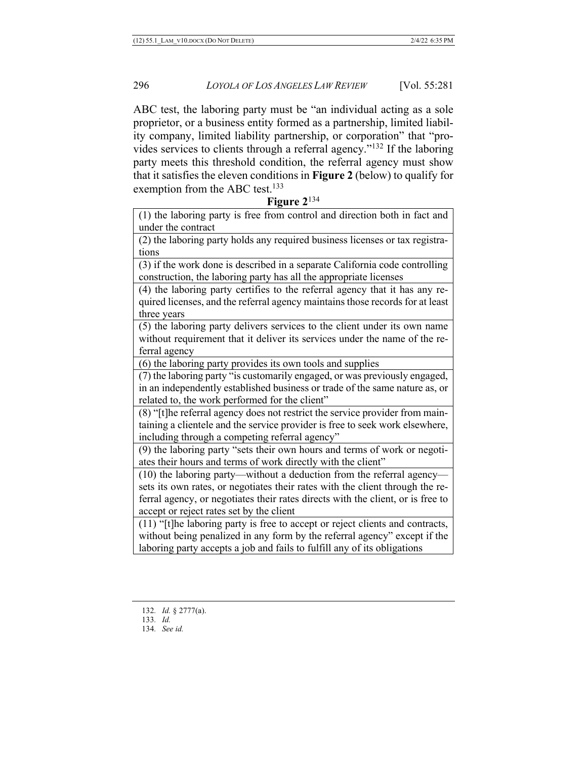ABC test, the laboring party must be "an individual acting as a sole proprietor, or a business entity formed as a partnership, limited liability company, limited liability partnership, or corporation" that "provides services to clients through a referral agency."132 If the laboring party meets this threshold condition, the referral agency must show that it satisfies the eleven conditions in **Figure 2** (below) to qualify for exemption from the ABC test.<sup>133</sup>

**Figure 2**<sup>134</sup>

(1) the laboring party is free from control and direction both in fact and under the contract

(2) the laboring party holds any required business licenses or tax registrations

(3) if the work done is described in a separate California code controlling construction, the laboring party has all the appropriate licenses

(4) the laboring party certifies to the referral agency that it has any required licenses, and the referral agency maintains those records for at least three years

(5) the laboring party delivers services to the client under its own name without requirement that it deliver its services under the name of the referral agency

(6) the laboring party provides its own tools and supplies

(7) the laboring party "is customarily engaged, or was previously engaged, in an independently established business or trade of the same nature as, or related to, the work performed for the client"

(8) "[t]he referral agency does not restrict the service provider from maintaining a clientele and the service provider is free to seek work elsewhere, including through a competing referral agency"

(9) the laboring party "sets their own hours and terms of work or negotiates their hours and terms of work directly with the client"

(10) the laboring party—without a deduction from the referral agency sets its own rates, or negotiates their rates with the client through the referral agency, or negotiates their rates directs with the client, or is free to accept or reject rates set by the client

(11) "[t]he laboring party is free to accept or reject clients and contracts, without being penalized in any form by the referral agency" except if the laboring party accepts a job and fails to fulfill any of its obligations

<sup>132</sup>*. Id.* § 2777(a).

<sup>133</sup>*. Id.*

<sup>134</sup>*. See id.*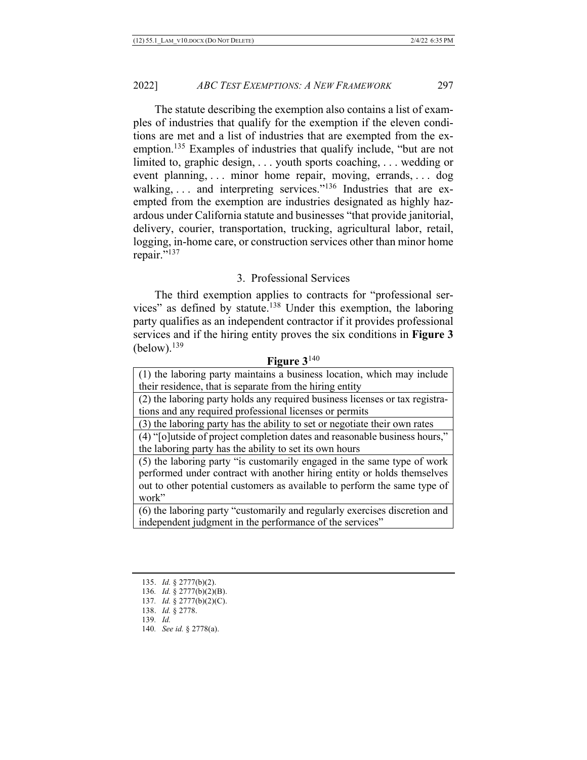The statute describing the exemption also contains a list of examples of industries that qualify for the exemption if the eleven conditions are met and a list of industries that are exempted from the exemption.<sup>135</sup> Examples of industries that qualify include, "but are not limited to, graphic design, . . . youth sports coaching, . . . wedding or event planning, . . . minor home repair, moving, errands, . . . dog walking, ... and interpreting services."<sup>136</sup> Industries that are exempted from the exemption are industries designated as highly hazardous under California statute and businesses "that provide janitorial, delivery, courier, transportation, trucking, agricultural labor, retail, logging, in-home care, or construction services other than minor home repair."<sup>137</sup>

# 3. Professional Services

The third exemption applies to contracts for "professional services" as defined by statute.<sup>138</sup> Under this exemption, the laboring party qualifies as an independent contractor if it provides professional services and if the hiring entity proves the six conditions in **Figure 3**   $(below).<sup>139</sup>$ 

#### **Figure 3**<sup>140</sup>

(1) the laboring party maintains a business location, which may include their residence, that is separate from the hiring entity

(2) the laboring party holds any required business licenses or tax registrations and any required professional licenses or permits

(3) the laboring party has the ability to set or negotiate their own rates

(4) "[o]utside of project completion dates and reasonable business hours," the laboring party has the ability to set its own hours

(5) the laboring party "is customarily engaged in the same type of work performed under contract with another hiring entity or holds themselves out to other potential customers as available to perform the same type of work"

(6) the laboring party "customarily and regularly exercises discretion and independent judgment in the performance of the services"

139*. Id.*

<sup>135.</sup> *Id.* § 2777(b)(2).

<sup>136</sup>*. Id.* § 2777(b)(2)(B).

<sup>137</sup>*. Id.* § 2777(b)(2)(C).

<sup>138.</sup> *Id.* § 2778.

<sup>140</sup>*. See id.* § 2778(a).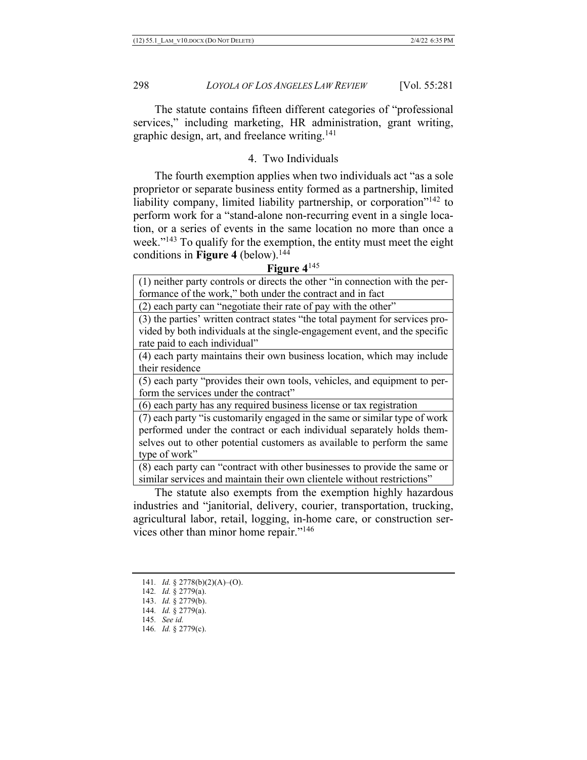The statute contains fifteen different categories of "professional services," including marketing, HR administration, grant writing, graphic design, art, and freelance writing.141

# 4. Two Individuals

The fourth exemption applies when two individuals act "as a sole proprietor or separate business entity formed as a partnership, limited liability company, limited liability partnership, or corporation"<sup>142</sup> to perform work for a "stand-alone non-recurring event in a single location, or a series of events in the same location no more than once a week."<sup>143</sup> To qualify for the exemption, the entity must meet the eight conditions in **Figure 4** (below).144

#### **Figure 4**<sup>145</sup>

(1) neither party controls or directs the other "in connection with the performance of the work," both under the contract and in fact

(2) each party can "negotiate their rate of pay with the other"

(3) the parties' written contract states "the total payment for services provided by both individuals at the single-engagement event, and the specific rate paid to each individual"

(4) each party maintains their own business location, which may include their residence

(5) each party "provides their own tools, vehicles, and equipment to perform the services under the contract"

(6) each party has any required business license or tax registration

(7) each party "is customarily engaged in the same or similar type of work performed under the contract or each individual separately holds themselves out to other potential customers as available to perform the same type of work"

(8) each party can "contract with other businesses to provide the same or similar services and maintain their own clientele without restrictions"

The statute also exempts from the exemption highly hazardous industries and "janitorial, delivery, courier, transportation, trucking, agricultural labor, retail, logging, in-home care, or construction services other than minor home repair."146

<sup>141</sup>*. Id.* § 2778(b)(2)(A)–(O).

<sup>142</sup>*. Id.* § 2779(a).

<sup>143.</sup> *Id.* § 2779(b).

<sup>144</sup>*. Id.* § 2779(a).

<sup>145</sup>*. See id.*

<sup>146</sup>*. Id.* § 2779(c).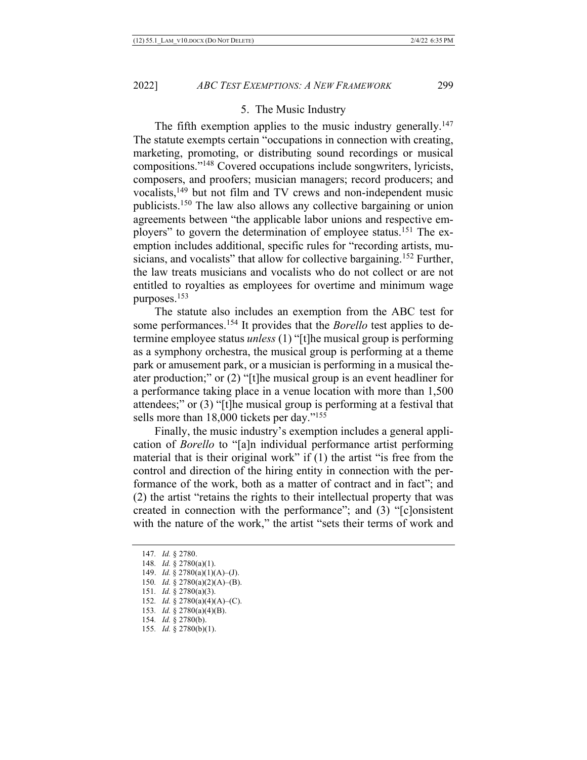## 5. The Music Industry

The fifth exemption applies to the music industry generally.<sup>147</sup> The statute exempts certain "occupations in connection with creating, marketing, promoting, or distributing sound recordings or musical compositions."148 Covered occupations include songwriters, lyricists, composers, and proofers; musician managers; record producers; and vocalists,<sup>149</sup> but not film and TV crews and non-independent music publicists.150 The law also allows any collective bargaining or union agreements between "the applicable labor unions and respective employers" to govern the determination of employee status.151 The exemption includes additional, specific rules for "recording artists, musicians, and vocalists" that allow for collective bargaining.<sup>152</sup> Further, the law treats musicians and vocalists who do not collect or are not entitled to royalties as employees for overtime and minimum wage purposes.153

The statute also includes an exemption from the ABC test for some performances.<sup>154</sup> It provides that the *Borello* test applies to determine employee status *unless* (1) "[t]he musical group is performing as a symphony orchestra, the musical group is performing at a theme park or amusement park, or a musician is performing in a musical theater production;" or (2) "[t]he musical group is an event headliner for a performance taking place in a venue location with more than 1,500 attendees;" or (3) "[t]he musical group is performing at a festival that sells more than 18,000 tickets per day."<sup>155</sup>

Finally, the music industry's exemption includes a general application of *Borello* to "[a]n individual performance artist performing material that is their original work" if (1) the artist "is free from the control and direction of the hiring entity in connection with the performance of the work, both as a matter of contract and in fact"; and (2) the artist "retains the rights to their intellectual property that was created in connection with the performance"; and (3) "[c]onsistent with the nature of the work," the artist "sets their terms of work and

<sup>147</sup>*. Id.* § 2780.

<sup>148</sup>*. Id.* § 2780(a)(1).

<sup>149.</sup> *Id.* § 2780(a)(1)(A)–(J).

<sup>150</sup>*. Id.* § 2780(a)(2)(A)–(B).

<sup>151</sup>*. Id.* § 2780(a)(3).

<sup>152</sup>*. Id.* § 2780(a)(4)(A)–(C).

<sup>153</sup>*. Id.* § 2780(a)(4)(B).

<sup>154</sup>*. Id.* § 2780(b).

<sup>155</sup>*. Id.* § 2780(b)(1).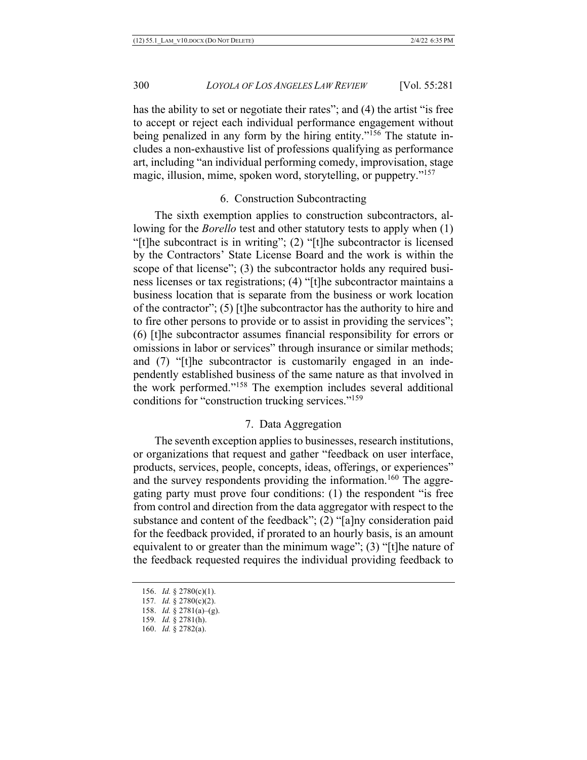has the ability to set or negotiate their rates"; and (4) the artist "is free to accept or reject each individual performance engagement without being penalized in any form by the hiring entity."<sup>156</sup> The statute includes a non-exhaustive list of professions qualifying as performance art, including "an individual performing comedy, improvisation, stage magic, illusion, mime, spoken word, storytelling, or puppetry."157

## 6. Construction Subcontracting

The sixth exemption applies to construction subcontractors, allowing for the *Borello* test and other statutory tests to apply when (1) "[t]he subcontract is in writing"; (2) "[t]he subcontractor is licensed by the Contractors' State License Board and the work is within the scope of that license"; (3) the subcontractor holds any required business licenses or tax registrations; (4) "[t]he subcontractor maintains a business location that is separate from the business or work location of the contractor"; (5) [t]he subcontractor has the authority to hire and to fire other persons to provide or to assist in providing the services"; (6) [t]he subcontractor assumes financial responsibility for errors or omissions in labor or services" through insurance or similar methods; and (7) "[t]he subcontractor is customarily engaged in an independently established business of the same nature as that involved in the work performed."158 The exemption includes several additional conditions for "construction trucking services."159

## 7. Data Aggregation

The seventh exception applies to businesses, research institutions, or organizations that request and gather "feedback on user interface, products, services, people, concepts, ideas, offerings, or experiences" and the survey respondents providing the information.<sup>160</sup> The aggregating party must prove four conditions: (1) the respondent "is free from control and direction from the data aggregator with respect to the substance and content of the feedback"; (2) "[a]ny consideration paid for the feedback provided, if prorated to an hourly basis, is an amount equivalent to or greater than the minimum wage"; (3) "[t]he nature of the feedback requested requires the individual providing feedback to

<sup>156.</sup> *Id.* § 2780(c)(1).

<sup>157</sup>*. Id.* § 2780(c)(2).

<sup>158.</sup> *Id.* § 2781(a)–(g).

<sup>159</sup>*. Id.* § 2781(h).

<sup>160.</sup> *Id.* § 2782(a).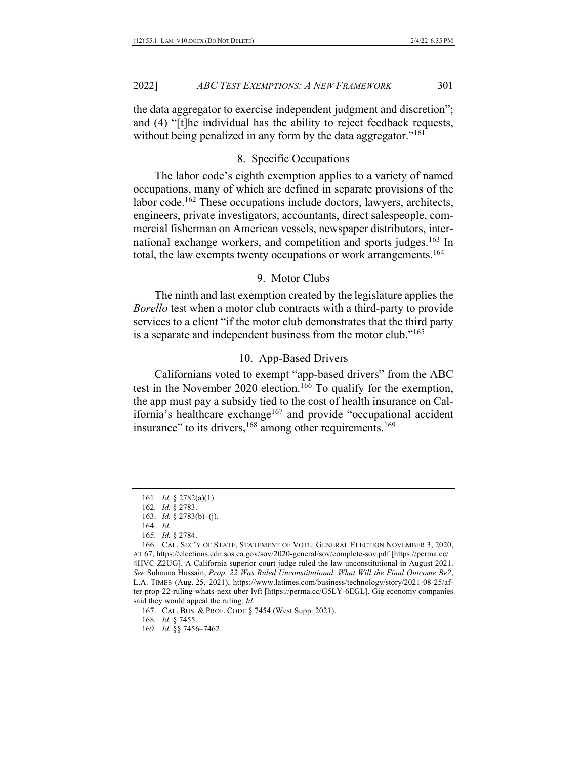the data aggregator to exercise independent judgment and discretion"; and (4) "[t]he individual has the ability to reject feedback requests, without being penalized in any form by the data aggregator."<sup>161</sup>

# 8. Specific Occupations

The labor code's eighth exemption applies to a variety of named occupations, many of which are defined in separate provisions of the labor code.<sup>162</sup> These occupations include doctors, lawyers, architects, engineers, private investigators, accountants, direct salespeople, commercial fisherman on American vessels, newspaper distributors, international exchange workers, and competition and sports judges.<sup>163</sup> In total, the law exempts twenty occupations or work arrangements.164

## 9. Motor Clubs

The ninth and last exemption created by the legislature applies the *Borello* test when a motor club contracts with a third-party to provide services to a client "if the motor club demonstrates that the third party is a separate and independent business from the motor club."<sup>165</sup>

# 10. App-Based Drivers

Californians voted to exempt "app-based drivers" from the ABC test in the November 2020 election.<sup>166</sup> To qualify for the exemption, the app must pay a subsidy tied to the cost of health insurance on California's healthcare exchange<sup>167</sup> and provide "occupational accident insurance" to its drivers,<sup>168</sup> among other requirements.<sup>169</sup>

<sup>161</sup>*. Id.* § 2782(a)(1).

<sup>162</sup>*. Id.* § 2783.

<sup>163.</sup> *Id.* § 2783(b)–(j).

<sup>164</sup>*. Id.*

<sup>165</sup>*. Id.* § 2784.

<sup>166</sup>*.* CAL. SEC'Y OF STATE, STATEMENT OF VOTE: GENERAL ELECTION NOVEMBER 3, 2020, AT 67, https://elections.cdn.sos.ca.gov/sov/2020-general/sov/complete-sov.pdf [https://perma.cc/ 4HVC-Z2UG]. A California superior court judge ruled the law unconstitutional in August 2021. *See* Suhauna Hussain, *Prop. 22 Was Ruled Unconstitutional. What Will the Final Outcome Be?*, L.A. TIMES (Aug. 25, 2021), https://www.latimes.com/business/technology/story/2021-08-25/after-prop-22-ruling-whats-next-uber-lyft [https://perma.cc/G5LY-6EGL]. Gig economy companies said they would appeal the ruling. *Id.*

<sup>167.</sup> CAL. BUS. & PROF. CODE § 7454 (West Supp. 2021).

<sup>168</sup>*. Id.* § 7455.

<sup>169</sup>*. Id.* §§ 7456–7462.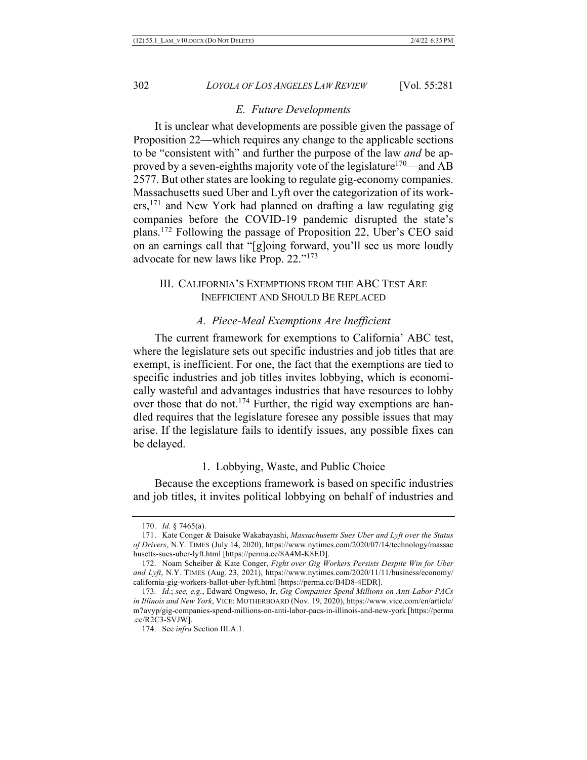#### *E. Future Developments*

It is unclear what developments are possible given the passage of Proposition 22—which requires any change to the applicable sections to be "consistent with" and further the purpose of the law *and* be approved by a seven-eighths majority vote of the legislature<sup>170</sup>—and AB 2577. But other states are looking to regulate gig-economy companies. Massachusetts sued Uber and Lyft over the categorization of its workers,171 and New York had planned on drafting a law regulating gig companies before the COVID-19 pandemic disrupted the state's plans.172 Following the passage of Proposition 22, Uber's CEO said on an earnings call that "[g]oing forward, you'll see us more loudly advocate for new laws like Prop. 22."173

# III. CALIFORNIA'S EXEMPTIONS FROM THE ABC TEST ARE INEFFICIENT AND SHOULD BE REPLACED

#### *A. Piece-Meal Exemptions Are Inefficient*

The current framework for exemptions to California' ABC test, where the legislature sets out specific industries and job titles that are exempt, is inefficient. For one, the fact that the exemptions are tied to specific industries and job titles invites lobbying, which is economically wasteful and advantages industries that have resources to lobby over those that do not.<sup>174</sup> Further, the rigid way exemptions are handled requires that the legislature foresee any possible issues that may arise. If the legislature fails to identify issues, any possible fixes can be delayed.

#### 1. Lobbying, Waste, and Public Choice

Because the exceptions framework is based on specific industries and job titles, it invites political lobbying on behalf of industries and

<sup>170.</sup> *Id.* § 7465(a).

<sup>171.</sup> Kate Conger & Daisuke Wakabayashi, *Massachusetts Sues Uber and Lyft over the Status of Drivers*, N.Y. TIMES (July 14, 2020), https://www.nytimes.com/2020/07/14/technology/massac husetts-sues-uber-lyft.html [https://perma.cc/8A4M-K8ED].

<sup>172.</sup> Noam Scheiber & Kate Conger, *Fight over Gig Workers Persists Despite Win for Uber and Lyft*, N.Y. TIMES (Aug. 23, 2021), https://www.nytimes.com/2020/11/11/business/economy/ california-gig-workers-ballot-uber-lyft.html [https://perma.cc/B4D8-4EDR].

<sup>173</sup>*. Id.*; *see, e.g.*, Edward Ongweso, Jr, *Gig Companies Spend Millions on Anti-Labor PACs in Illinois and New York*, VICE: MOTHERBOARD (Nov. 19, 2020), https://www.vice.com/en/article/ m7avyp/gig-companies-spend-millions-on-anti-labor-pacs-in-illinois-and-new-york [https://perma .cc/R2C3-SVJW].

<sup>174.</sup> See *infra* Section III.A.1.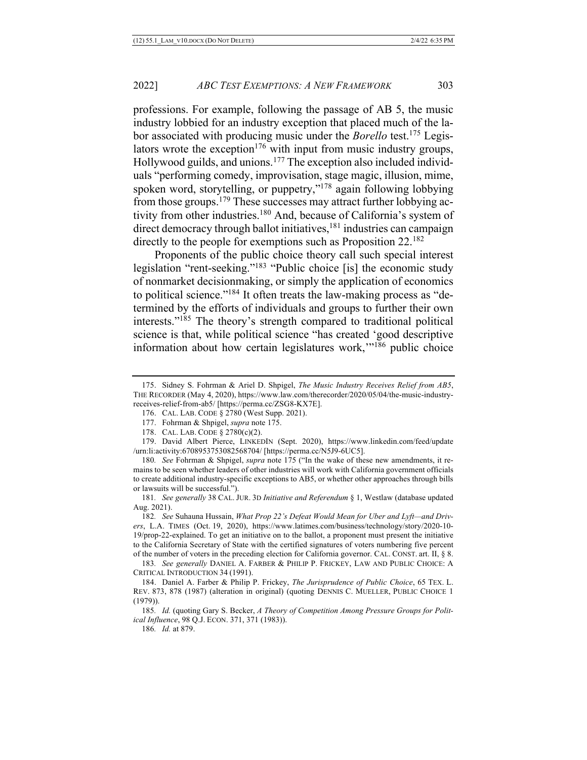professions. For example, following the passage of AB 5, the music industry lobbied for an industry exception that placed much of the labor associated with producing music under the *Borello* test.175 Legislators wrote the exception<sup>176</sup> with input from music industry groups, Hollywood guilds, and unions.<sup>177</sup> The exception also included individuals "performing comedy, improvisation, stage magic, illusion, mime, spoken word, storytelling, or puppetry,"<sup>178</sup> again following lobbying from those groups.<sup>179</sup> These successes may attract further lobbying activity from other industries.<sup>180</sup> And, because of California's system of direct democracy through ballot initiatives,<sup>181</sup> industries can campaign directly to the people for exemptions such as Proposition 22.<sup>182</sup>

Proponents of the public choice theory call such special interest legislation "rent-seeking."<sup>183</sup> "Public choice [is] the economic study of nonmarket decisionmaking, or simply the application of economics to political science."184 It often treats the law-making process as "determined by the efforts of individuals and groups to further their own interests."185 The theory's strength compared to traditional political science is that, while political science "has created 'good descriptive information about how certain legislatures work,"<sup>186</sup> public choice

<sup>175.</sup> Sidney S. Fohrman & Ariel D. Shpigel, *The Music Industry Receives Relief from AB5*, THE RECORDER (May 4, 2020), https://www.law.com/therecorder/2020/05/04/the-music-industryreceives-relief-from-ab5/ [https://perma.cc/ZSG8-KX7E].

<sup>176.</sup> CAL. LAB. CODE § 2780 (West Supp. 2021).

<sup>177.</sup> Fohrman & Shpigel, *supra* note 175.

<sup>178.</sup> CAL. LAB. CODE § 2780(c)(2).

<sup>179.</sup> David Albert Pierce, LINKEDIN (Sept. 2020), https://www.linkedin.com/feed/update /urn:li:activity:6708953753082568704/ [https://perma.cc/N5J9-6UC5].

<sup>180</sup>*. See* Fohrman & Shpigel, *supra* note 175 ("In the wake of these new amendments, it remains to be seen whether leaders of other industries will work with California government officials to create additional industry-specific exceptions to AB5, or whether other approaches through bills or lawsuits will be successful.").

<sup>181</sup>*. See generally* 38 CAL. JUR. 3D *Initiative and Referendum* § 1, Westlaw (database updated Aug. 2021).

<sup>182</sup>*. See* Suhauna Hussain, *What Prop 22's Defeat Would Mean for Uber and Lyft—and Drivers*, L.A. TIMES (Oct. 19, 2020), https://www.latimes.com/business/technology/story/2020-10- 19/prop-22-explained. To get an initiative on to the ballot, a proponent must present the initiative to the California Secretary of State with the certified signatures of voters numbering five percent of the number of voters in the preceding election for California governor. CAL. CONST. art. II, § 8.

<sup>183</sup>*. See generally* DANIEL A. FARBER & PHILIP P. FRICKEY, LAW AND PUBLIC CHOICE: A CRITICAL INTRODUCTION 34 (1991).

<sup>184.</sup> Daniel A. Farber & Philip P. Frickey, *The Jurisprudence of Public Choice*, 65 TEX. L. REV. 873, 878 (1987) (alteration in original) (quoting DENNIS C. MUELLER, PUBLIC CHOICE 1 (1979)).

<sup>185</sup>*. Id.* (quoting Gary S. Becker, *A Theory of Competition Among Pressure Groups for Political Influence*, 98 Q.J. ECON. 371, 371 (1983)).

<sup>186</sup>*. Id.* at 879.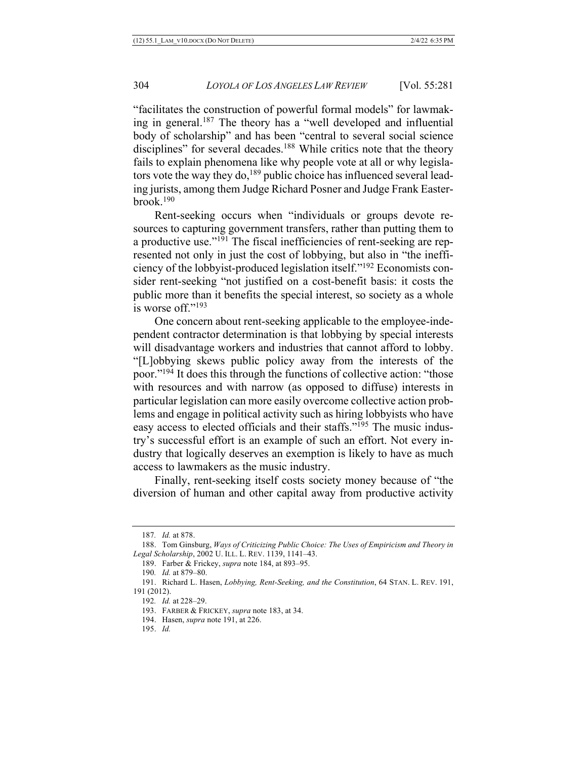"facilitates the construction of powerful formal models" for lawmaking in general.<sup>187</sup> The theory has a "well developed and influential body of scholarship" and has been "central to several social science disciplines" for several decades.<sup>188</sup> While critics note that the theory fails to explain phenomena like why people vote at all or why legislators vote the way they do,<sup>189</sup> public choice has influenced several leading jurists, among them Judge Richard Posner and Judge Frank Easter $b$ rook.<sup>190</sup>

Rent-seeking occurs when "individuals or groups devote resources to capturing government transfers, rather than putting them to a productive use."<sup>191</sup> The fiscal inefficiencies of rent-seeking are represented not only in just the cost of lobbying, but also in "the inefficiency of the lobbyist-produced legislation itself."192 Economists consider rent-seeking "not justified on a cost-benefit basis: it costs the public more than it benefits the special interest, so society as a whole is worse off."193

One concern about rent-seeking applicable to the employee-independent contractor determination is that lobbying by special interests will disadvantage workers and industries that cannot afford to lobby. "[L]obbying skews public policy away from the interests of the poor."194 It does this through the functions of collective action: "those with resources and with narrow (as opposed to diffuse) interests in particular legislation can more easily overcome collective action problems and engage in political activity such as hiring lobbyists who have easy access to elected officials and their staffs."195 The music industry's successful effort is an example of such an effort. Not every industry that logically deserves an exemption is likely to have as much access to lawmakers as the music industry.

Finally, rent-seeking itself costs society money because of "the diversion of human and other capital away from productive activity

<sup>187</sup>*. Id.* at 878.

<sup>188.</sup> Tom Ginsburg, *Ways of Criticizing Public Choice: The Uses of Empiricism and Theory in Legal Scholarship*, 2002 U. ILL. L. REV. 1139, 1141–43.

<sup>189.</sup> Farber & Frickey, *supra* note 184, at 893–95.

<sup>190</sup>*. Id.* at 879–80.

<sup>191.</sup> Richard L. Hasen, *Lobbying, Rent-Seeking, and the Constitution*, 64 STAN. L. REV. 191, 191 (2012).

<sup>192</sup>*. Id.* at 228–29.

<sup>193.</sup> FARBER & FRICKEY, *supra* note 183, at 34.

<sup>194.</sup> Hasen, *supra* note 191, at 226.

<sup>195.</sup> *Id.*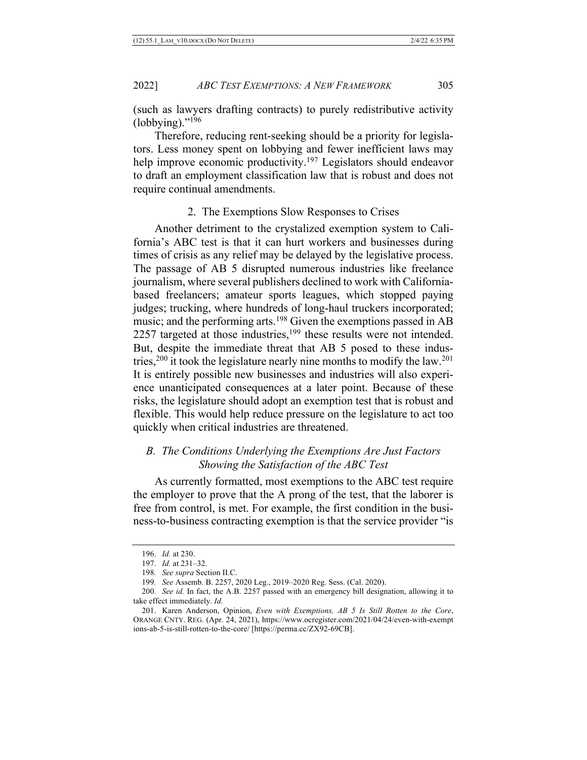(such as lawyers drafting contracts) to purely redistributive activity  $(lobbying).$ "<sup>196</sup>

Therefore, reducing rent-seeking should be a priority for legislators. Less money spent on lobbying and fewer inefficient laws may help improve economic productivity.<sup>197</sup> Legislators should endeavor to draft an employment classification law that is robust and does not require continual amendments.

## 2. The Exemptions Slow Responses to Crises

Another detriment to the crystalized exemption system to California's ABC test is that it can hurt workers and businesses during times of crisis as any relief may be delayed by the legislative process. The passage of AB 5 disrupted numerous industries like freelance journalism, where several publishers declined to work with Californiabased freelancers; amateur sports leagues, which stopped paying judges; trucking, where hundreds of long-haul truckers incorporated; music; and the performing arts.<sup>198</sup> Given the exemptions passed in AB 2257 targeted at those industries, $199$  these results were not intended. But, despite the immediate threat that AB 5 posed to these industries,<sup>200</sup> it took the legislature nearly nine months to modify the law.<sup>201</sup> It is entirely possible new businesses and industries will also experience unanticipated consequences at a later point. Because of these risks, the legislature should adopt an exemption test that is robust and flexible. This would help reduce pressure on the legislature to act too quickly when critical industries are threatened.

# *B. The Conditions Underlying the Exemptions Are Just Factors Showing the Satisfaction of the ABC Test*

As currently formatted, most exemptions to the ABC test require the employer to prove that the A prong of the test, that the laborer is free from control, is met. For example, the first condition in the business-to-business contracting exemption is that the service provider "is

<sup>196.</sup> *Id.* at 230.

<sup>197.</sup> *Id.* at 231–32.

<sup>198</sup>*. See supra* Section II.C.

<sup>199</sup>*. See* Assemb. B. 2257, 2020 Leg., 2019–2020 Reg. Sess. (Cal. 2020).

<sup>200</sup>*. See id.* In fact, the A.B. 2257 passed with an emergency bill designation, allowing it to take effect immediately. *Id.*

<sup>201.</sup> Karen Anderson, Opinion, *Even with Exemptions, AB 5 Is Still Rotten to the Core*, ORANGE CNTY. REG. (Apr. 24, 2021), https://www.ocregister.com/2021/04/24/even-with-exempt ions-ab-5-is-still-rotten-to-the-core/ [https://perma.cc/ZX92-69CB].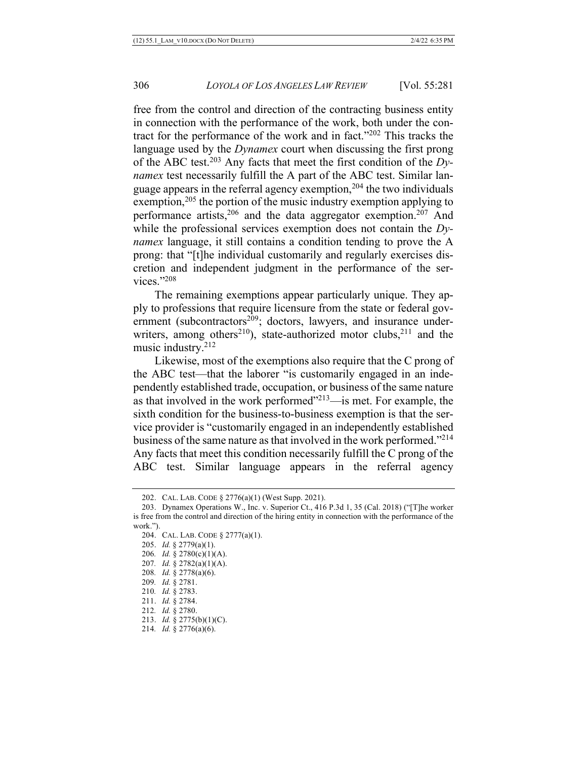free from the control and direction of the contracting business entity in connection with the performance of the work, both under the contract for the performance of the work and in fact."202 This tracks the language used by the *Dynamex* court when discussing the first prong of the ABC test.203 Any facts that meet the first condition of the *Dynamex* test necessarily fulfill the A part of the ABC test. Similar language appears in the referral agency exemption,  $204$  the two individuals exemption,  $205$  the portion of the music industry exemption applying to performance artists,  $206$  and the data aggregator exemption.  $207$  And while the professional services exemption does not contain the *Dynamex* language, it still contains a condition tending to prove the A prong: that "[t]he individual customarily and regularly exercises discretion and independent judgment in the performance of the services."208

The remaining exemptions appear particularly unique. They apply to professions that require licensure from the state or federal government (subcontractors<sup>209</sup>; doctors, lawyers, and insurance underwriters, among others<sup>210</sup>), state-authorized motor clubs,<sup>211</sup> and the music industry.212

Likewise, most of the exemptions also require that the C prong of the ABC test—that the laborer "is customarily engaged in an independently established trade, occupation, or business of the same nature as that involved in the work performed $1213$ —is met. For example, the sixth condition for the business-to-business exemption is that the service provider is "customarily engaged in an independently established business of the same nature as that involved in the work performed."214 Any facts that meet this condition necessarily fulfill the C prong of the ABC test. Similar language appears in the referral agency

213. *Id.* § 2775(b)(1)(C).

<sup>202.</sup> CAL. LAB. CODE § 2776(a)(1) (West Supp. 2021).

<sup>203.</sup> Dynamex Operations W., Inc. v. Superior Ct., 416 P.3d 1, 35 (Cal. 2018) ("[T]he worker is free from the control and direction of the hiring entity in connection with the performance of the work.").

<sup>204.</sup> CAL. LAB. CODE § 2777(a)(1).

<sup>205.</sup> *Id.* § 2779(a)(1).

<sup>206</sup>*. Id.* § 2780(c)(1)(A).

<sup>207</sup>*. Id.* § 2782(a)(1)(A).

<sup>208</sup>*. Id.* § 2778(a)(6). 209*. Id.* § 2781.

<sup>210</sup>*. Id.* § 2783.

<sup>211.</sup> *Id.* § 2784.

<sup>212</sup>*. Id.* § 2780.

<sup>214</sup>*. Id.* § 2776(a)(6).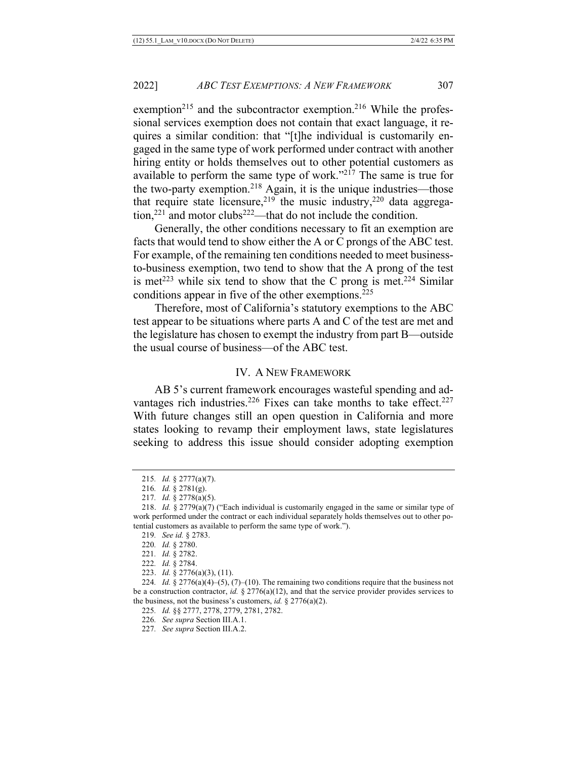exemption<sup>215</sup> and the subcontractor exemption.<sup>216</sup> While the professional services exemption does not contain that exact language, it requires a similar condition: that "[t]he individual is customarily engaged in the same type of work performed under contract with another hiring entity or holds themselves out to other potential customers as available to perform the same type of work."217 The same is true for the two-party exemption.<sup>218</sup> Again, it is the unique industries—those that require state licensure,  $219$  the music industry,  $220$  data aggregation,<sup>221</sup> and motor clubs<sup>222</sup>—that do not include the condition.

Generally, the other conditions necessary to fit an exemption are facts that would tend to show either the A or C prongs of the ABC test. For example, of the remaining ten conditions needed to meet businessto-business exemption, two tend to show that the A prong of the test is met<sup>223</sup> while six tend to show that the C prong is met.<sup>224</sup> Similar conditions appear in five of the other exemptions.<sup>225</sup>

Therefore, most of California's statutory exemptions to the ABC test appear to be situations where parts A and C of the test are met and the legislature has chosen to exempt the industry from part B—outside the usual course of business—of the ABC test.

# IV. A NEW FRAMEWORK

AB 5's current framework encourages wasteful spending and advantages rich industries.<sup>226</sup> Fixes can take months to take effect.<sup>227</sup> With future changes still an open question in California and more states looking to revamp their employment laws, state legislatures seeking to address this issue should consider adopting exemption

- 222*. Id.* § 2784.
- 223. *Id.* § 2776(a)(3), (11).

225*. Id.* §§ 2777, 2778, 2779, 2781, 2782.

226*. See supra* Section III.A.1.

<sup>215</sup>*. Id.* § 2777(a)(7).

<sup>216</sup>*. Id.* § 2781(g).

<sup>217</sup>*. Id.* § 2778(a)(5).

<sup>218.</sup> *Id.* § 2779(a)(7) ("Each individual is customarily engaged in the same or similar type of work performed under the contract or each individual separately holds themselves out to other potential customers as available to perform the same type of work.").

<sup>219</sup>*. See id.* § 2783.

<sup>220</sup>*. Id.* § 2780.

<sup>221</sup>*. Id.* § 2782.

<sup>224</sup>*. Id.* § 2776(a)(4)–(5), (7)–(10). The remaining two conditions require that the business not be a construction contractor, *id.* § 2776(a)(12), and that the service provider provides services to the business, not the business's customers, *id.* § 2776(a)(2).

<sup>227</sup>*. See supra* Section III.A.2.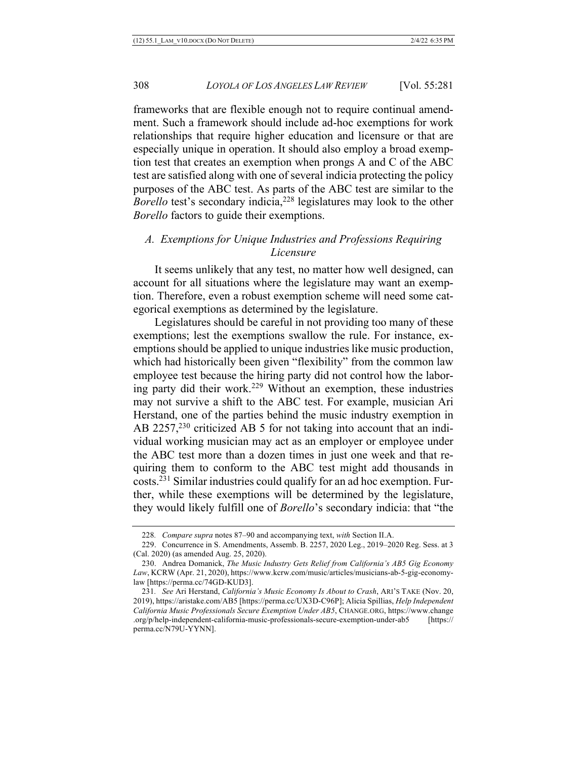frameworks that are flexible enough not to require continual amendment. Such a framework should include ad-hoc exemptions for work relationships that require higher education and licensure or that are especially unique in operation. It should also employ a broad exemption test that creates an exemption when prongs A and C of the ABC test are satisfied along with one of several indicia protecting the policy purposes of the ABC test. As parts of the ABC test are similar to the *Borello* test's secondary indicia,<sup>228</sup> legislatures may look to the other *Borello* factors to guide their exemptions.

# *A. Exemptions for Unique Industries and Professions Requiring Licensure*

It seems unlikely that any test, no matter how well designed, can account for all situations where the legislature may want an exemption. Therefore, even a robust exemption scheme will need some categorical exemptions as determined by the legislature.

Legislatures should be careful in not providing too many of these exemptions; lest the exemptions swallow the rule. For instance, exemptions should be applied to unique industries like music production, which had historically been given "flexibility" from the common law employee test because the hiring party did not control how the laboring party did their work.<sup>229</sup> Without an exemption, these industries may not survive a shift to the ABC test. For example, musician Ari Herstand, one of the parties behind the music industry exemption in AB  $2257$ ,<sup>230</sup> criticized AB 5 for not taking into account that an individual working musician may act as an employer or employee under the ABC test more than a dozen times in just one week and that requiring them to conform to the ABC test might add thousands in costs.231 Similar industries could qualify for an ad hoc exemption. Further, while these exemptions will be determined by the legislature, they would likely fulfill one of *Borello*'s secondary indicia: that "the

<sup>228</sup>*. Compare supra* notes 87–90 and accompanying text, *with* Section II.A.

<sup>229.</sup> Concurrence in S. Amendments, Assemb. B. 2257, 2020 Leg., 2019–2020 Reg. Sess. at 3 (Cal. 2020) (as amended Aug. 25, 2020).

<sup>230.</sup> Andrea Domanick, *The Music Industry Gets Relief from California's AB5 Gig Economy Law*, KCRW (Apr. 21, 2020), https://www.kcrw.com/music/articles/musicians-ab-5-gig-economylaw [https://perma.cc/74GD-KUD3].

<sup>231</sup>*. See* Ari Herstand, *California's Music Economy Is About to Crash*, ARI'S TAKE (Nov. 20, 2019), https://aristake.com/AB5 [https://perma.cc/UX3D-C96P]; Alicia Spillias, *Help Independent California Music Professionals Secure Exemption Under AB5*, CHANGE.ORG, https://www.change .org/p/help-independent-california-music-professionals-secure-exemption-under-ab5 [https:// perma.cc/N79U-YYNN].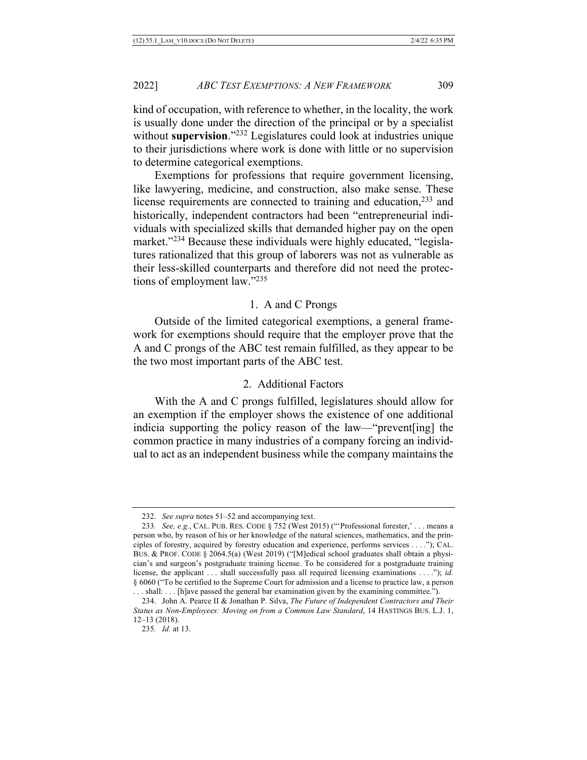kind of occupation, with reference to whether, in the locality, the work is usually done under the direction of the principal or by a specialist without **supervision**."232 Legislatures could look at industries unique to their jurisdictions where work is done with little or no supervision to determine categorical exemptions.

Exemptions for professions that require government licensing, like lawyering, medicine, and construction, also make sense. These license requirements are connected to training and education,<sup>233</sup> and historically, independent contractors had been "entrepreneurial individuals with specialized skills that demanded higher pay on the open market."<sup>234</sup> Because these individuals were highly educated, "legislatures rationalized that this group of laborers was not as vulnerable as their less-skilled counterparts and therefore did not need the protections of employment law."235

#### 1. A and C Prongs

Outside of the limited categorical exemptions, a general framework for exemptions should require that the employer prove that the A and C prongs of the ABC test remain fulfilled, as they appear to be the two most important parts of the ABC test.

## 2. Additional Factors

With the A and C prongs fulfilled, legislatures should allow for an exemption if the employer shows the existence of one additional indicia supporting the policy reason of the law—"prevent[ing] the common practice in many industries of a company forcing an individual to act as an independent business while the company maintains the

<sup>232.</sup> *See supra* notes 51–52 and accompanying text.

<sup>233</sup>*. See, e.g.*, CAL. PUB. RES. CODE § 752 (West 2015) ("'Professional forester,' . . . means a person who, by reason of his or her knowledge of the natural sciences, mathematics, and the principles of forestry, acquired by forestry education and experience, performs services . . . ."); CAL. BUS. & PROF. CODE § 2064.5(a) (West 2019) ("[M]edical school graduates shall obtain a physician's and surgeon's postgraduate training license. To be considered for a postgraduate training license, the applicant . . . shall successfully pass all required licensing examinations . . . ."); *id.* § 6060 ("To be certified to the Supreme Court for admission and a license to practice law, a person

<sup>.</sup> . . shall: . . . [h]ave passed the general bar examination given by the examining committee."). 234. John A. Pearce II & Jonathan P. Silva, *The Future of Independent Contractors and Their Status as Non-Employees: Moving on from a Common Law Standard*, 14 HASTINGS BUS. L.J. 1, 12–13 (2018).

<sup>235</sup>*. Id.* at 13.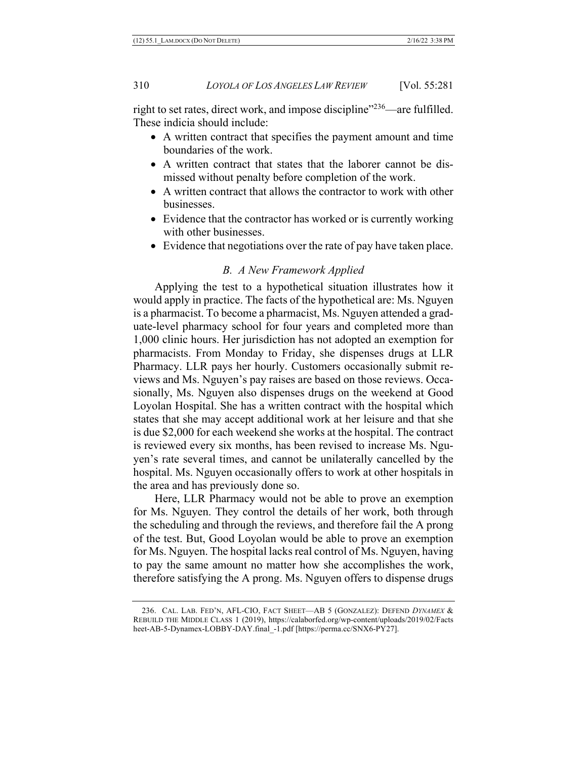right to set rates, direct work, and impose discipline"<sup>236</sup>—are fulfilled. These indicia should include:

- A written contract that specifies the payment amount and time boundaries of the work.
- A written contract that states that the laborer cannot be dismissed without penalty before completion of the work.
- A written contract that allows the contractor to work with other businesses.
- Evidence that the contractor has worked or is currently working with other businesses.
- Evidence that negotiations over the rate of pay have taken place.

# *B. A New Framework Applied*

Applying the test to a hypothetical situation illustrates how it would apply in practice. The facts of the hypothetical are: Ms. Nguyen is a pharmacist. To become a pharmacist, Ms. Nguyen attended a graduate-level pharmacy school for four years and completed more than 1,000 clinic hours. Her jurisdiction has not adopted an exemption for pharmacists. From Monday to Friday, she dispenses drugs at LLR Pharmacy. LLR pays her hourly. Customers occasionally submit reviews and Ms. Nguyen's pay raises are based on those reviews. Occasionally, Ms. Nguyen also dispenses drugs on the weekend at Good Loyolan Hospital. She has a written contract with the hospital which states that she may accept additional work at her leisure and that she is due \$2,000 for each weekend she works at the hospital. The contract is reviewed every six months, has been revised to increase Ms. Nguyen's rate several times, and cannot be unilaterally cancelled by the hospital. Ms. Nguyen occasionally offers to work at other hospitals in the area and has previously done so.

Here, LLR Pharmacy would not be able to prove an exemption for Ms. Nguyen. They control the details of her work, both through the scheduling and through the reviews, and therefore fail the A prong of the test. But, Good Loyolan would be able to prove an exemption for Ms. Nguyen. The hospital lacks real control of Ms. Nguyen, having to pay the same amount no matter how she accomplishes the work, therefore satisfying the A prong. Ms. Nguyen offers to dispense drugs

<sup>236.</sup> CAL. LAB. FED'N, AFL-CIO, FACT SHEET—AB 5 (GONZALEZ): DEFEND *DYNAMEX* & REBUILD THE MIDDLE CLASS 1 (2019), https://calaborfed.org/wp-content/uploads/2019/02/Facts heet-AB-5-Dynamex-LOBBY-DAY.final\_-1.pdf [https://perma.cc/SNX6-PY27].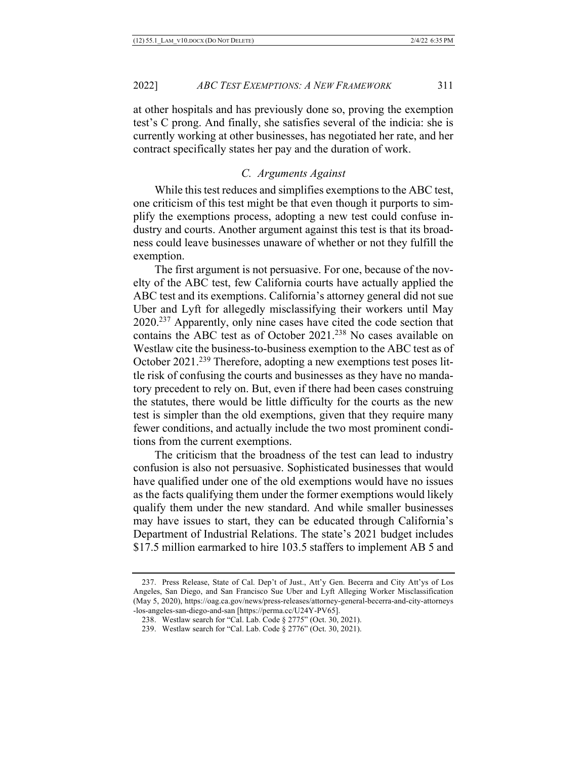at other hospitals and has previously done so, proving the exemption test's C prong. And finally, she satisfies several of the indicia: she is currently working at other businesses, has negotiated her rate, and her contract specifically states her pay and the duration of work.

#### *C. Arguments Against*

While this test reduces and simplifies exemptions to the ABC test, one criticism of this test might be that even though it purports to simplify the exemptions process, adopting a new test could confuse industry and courts. Another argument against this test is that its broadness could leave businesses unaware of whether or not they fulfill the exemption.

The first argument is not persuasive. For one, because of the novelty of the ABC test, few California courts have actually applied the ABC test and its exemptions. California's attorney general did not sue Uber and Lyft for allegedly misclassifying their workers until May 2020.237 Apparently, only nine cases have cited the code section that contains the ABC test as of October 2021.<sup>238</sup> No cases available on Westlaw cite the business-to-business exemption to the ABC test as of October 2021.<sup>239</sup> Therefore, adopting a new exemptions test poses little risk of confusing the courts and businesses as they have no mandatory precedent to rely on. But, even if there had been cases construing the statutes, there would be little difficulty for the courts as the new test is simpler than the old exemptions, given that they require many fewer conditions, and actually include the two most prominent conditions from the current exemptions.

The criticism that the broadness of the test can lead to industry confusion is also not persuasive. Sophisticated businesses that would have qualified under one of the old exemptions would have no issues as the facts qualifying them under the former exemptions would likely qualify them under the new standard. And while smaller businesses may have issues to start, they can be educated through California's Department of Industrial Relations. The state's 2021 budget includes \$17.5 million earmarked to hire 103.5 staffers to implement AB 5 and

<sup>237.</sup> Press Release, State of Cal. Dep't of Just., Att'y Gen. Becerra and City Att'ys of Los Angeles, San Diego, and San Francisco Sue Uber and Lyft Alleging Worker Misclassification (May 5, 2020), https://oag.ca.gov/news/press-releases/attorney-general-becerra-and-city-attorneys -los-angeles-san-diego-and-san [https://perma.cc/U24Y-PV65].

<sup>238.</sup> Westlaw search for "Cal. Lab. Code § 2775" (Oct. 30, 2021).

<sup>239.</sup> Westlaw search for "Cal. Lab. Code § 2776" (Oct. 30, 2021).